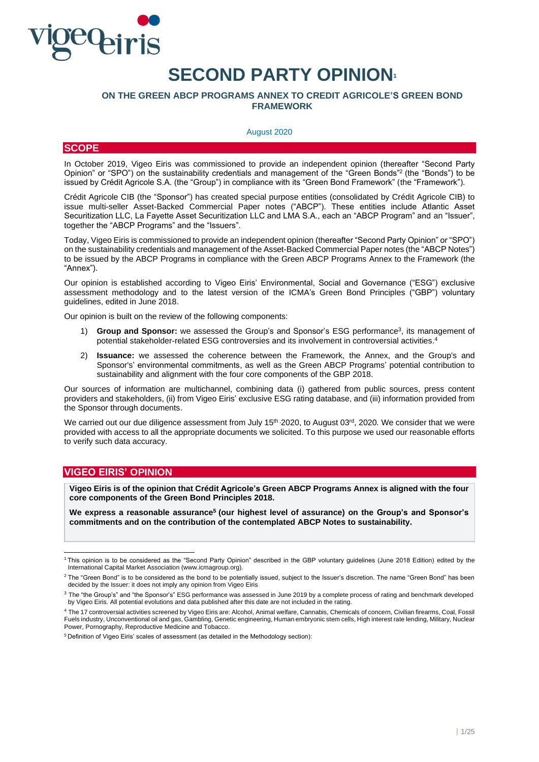

# **SECOND PARTY OPINION<sup>1</sup>**

# **ON THE GREEN ABCP PROGRAMS ANNEX TO CREDIT AGRICOLE'S GREEN BOND FRAMEWORK**

# August 2020

# **SCOPE**

In October 2019, Vigeo Eiris was commissioned to provide an independent opinion (thereafter "Second Party Opinion" or "SPO") on the sustainability credentials and management of the "Green Bonds"<sup>2</sup> (the "Bonds") to be issued by Crédit Agricole S.A. (the "Group") in compliance with its "Green Bond Framework" (the "Framework").

Crédit Agricole CIB (the "Sponsor") has created special purpose entities (consolidated by Crédit Agricole CIB) to issue multi-seller Asset-Backed Commercial Paper notes ("ABCP"). These entities include Atlantic Asset Securitization LLC, La Fayette Asset Securitization LLC and LMA S.A., each an "ABCP Program" and an "Issuer", together the "ABCP Programs" and the "Issuers".

Today, Vigeo Eiris is commissioned to provide an independent opinion (thereafter "Second Party Opinion" or "SPO") on the sustainability credentials and management of the Asset-Backed Commercial Paper notes (the "ABCP Notes") to be issued by the ABCP Programs in compliance with the Green ABCP Programs Annex to the Framework (the "Annex").

Our opinion is established according to Vigeo Eiris' Environmental, Social and Governance ("ESG") exclusive assessment methodology and to the latest version of the ICMA's Green Bond Principles ("GBP") voluntary guidelines, edited in June 2018.

Our opinion is built on the review of the following components:

- 1) **Group and Sponsor:** we assessed the Group's and Sponsor's ESG performance<sup>3</sup>, its management of potential stakeholder-related ESG controversies and its involvement in controversial activities. 4
- 2) **Issuance:** we assessed the coherence between the Framework, the Annex, and the Group's and Sponsor's' environmental commitments, as well as the Green ABCP Programs' potential contribution to sustainability and alignment with the four core components of the GBP 2018.

Our sources of information are multichannel, combining data (i) gathered from public sources, press content providers and stakeholders, (ii) from Vigeo Eiris' exclusive ESG rating database, and (iii) information provided from the Sponsor through documents.

We carried out our due diligence assessment from July 15<sup>th</sup> 2020, to August 03<sup>rd</sup>, 2020. We consider that we were provided with access to all the appropriate documents we solicited. To this purpose we used our reasonable efforts to verify such data accuracy.

# **VIGEO EIRIS' OPINION**

**Vigeo Eiris is of the opinion that Crédit Agricole's Green ABCP Programs Annex is aligned with the four core components of the Green Bond Principles 2018.** 

**We express a reasonable assurance<sup>5</sup> (our highest level of assurance) on the Group's and Sponsor's commitments and on the contribution of the contemplated ABCP Notes to sustainability.**

<sup>1</sup> This opinion is to be considered as the "Second Party Opinion" described in the GBP voluntary guidelines (June 2018 Edition) edited by the International Capital Market Association [\(www.icmagroup.org\).](file://///FCH01001/entreprises$/C157525/partage/Production%20NS/Missions%20en%20cours/685%20-%20Livelihoods/Deliverables/SPO/www.icmagroup.org)

<sup>&</sup>lt;sup>2</sup> The "Green Bond" is to be considered as the bond to be potentially issued, subject to the Issuer's discretion. The name "Green Bond" has been decided by the Issuer: it does not imply any opinion from Vigeo Eiris

<sup>&</sup>lt;sup>3</sup> The "the Group's" and "the Sponsor's" ESG performance was assessed in June 2019 by a complete process of rating and benchmark developed by Vigeo Eiris. All potential evolutions and data published after this date are not included in the rating.

<sup>4</sup> The 17 controversial activities screened by Vigeo Eiris are: Alcohol, Animal welfare, Cannabis, Chemicals of concern, Civilian firearms, Coal, Fossil Fuels industry, Unconventional oil and gas, Gambling, Genetic engineering, Human embryonic stem cells, High interest rate lending, Military, Nuclear Power, Pornography, Reproductive Medicine and Tobacco.

<sup>5</sup> Definition of Vigeo Eiris' scales of assessment (as detailed in the Methodology section):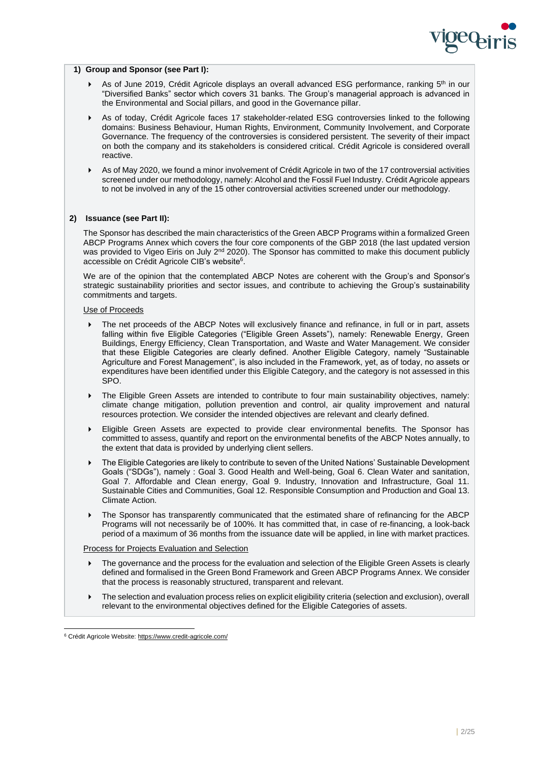

# **1) Group and Sponsor (see Part I):**

- ▶ As of June 2019, Crédit Agricole displays an overall advanced ESG performance, ranking 5<sup>th</sup> in our "Diversified Banks" sector which covers 31 banks. The Group's managerial approach is advanced in the Environmental and Social pillars, and good in the Governance pillar.
- As of today, Crédit Agricole faces 17 stakeholder-related ESG controversies linked to the following domains: Business Behaviour, Human Rights, Environment, Community Involvement, and Corporate Governance. The frequency of the controversies is considered persistent. The severity of their impact on both the company and its stakeholders is considered critical. Crédit Agricole is considered overall reactive.
- As of May 2020, we found a minor involvement of Crédit Agricole in two of the 17 controversial activities screened under our methodology, namely: Alcohol and the Fossil Fuel Industry. Crédit Agricole appears to not be involved in any of the 15 other controversial activities screened under our methodology.

# **2) Issuance (see Part II):**

The Sponsor has described the main characteristics of the Green ABCP Programs within a formalized Green ABCP Programs Annex which covers the four core components of the GBP 2018 (the last updated version was provided to Vigeo Eiris on July 2<sup>nd</sup> 2020). The Sponsor has committed to make this document publicly accessible on Crédit Agricole CIB's website<sup>6</sup>.

We are of the opinion that the contemplated ABCP Notes are coherent with the Group's and Sponsor's strategic sustainability priorities and sector issues, and contribute to achieving the Group's sustainability commitments and targets.

# Use of Proceeds

- The net proceeds of the ABCP Notes will exclusively finance and refinance, in full or in part, assets falling within five Eligible Categories ("Eligible Green Assets"), namely: Renewable Energy, Green Buildings, Energy Efficiency, Clean Transportation, and Waste and Water Management. We consider that these Eligible Categories are clearly defined. Another Eligible Category, namely "Sustainable Agriculture and Forest Management", is also included in the Framework, yet, as of today, no assets or expenditures have been identified under this Eligible Category, and the category is not assessed in this SPO.
- The Eligible Green Assets are intended to contribute to four main sustainability objectives, namely: climate change mitigation, pollution prevention and control, air quality improvement and natural resources protection. We consider the intended objectives are relevant and clearly defined.
- Eligible Green Assets are expected to provide clear environmental benefits. The Sponsor has committed to assess, quantify and report on the environmental benefits of the ABCP Notes annually, to the extent that data is provided by underlying client sellers.
- The Eligible Categories are likely to contribute to seven of the United Nations' Sustainable Development Goals ("SDGs"), namely : Goal 3. Good Health and Well-being, Goal 6. Clean Water and sanitation, Goal 7. Affordable and Clean energy, Goal 9. Industry, Innovation and Infrastructure, Goal 11. Sustainable Cities and Communities, Goal 12. Responsible Consumption and Production and Goal 13. Climate Action.
- The Sponsor has transparently communicated that the estimated share of refinancing for the ABCP Programs will not necessarily be of 100%. It has committed that, in case of re-financing, a look-back period of a maximum of 36 months from the issuance date will be applied, in line with market practices.

#### Process for Projects Evaluation and Selection

- The governance and the process for the evaluation and selection of the Eligible Green Assets is clearly defined and formalised in the Green Bond Framework and Green ABCP Programs Annex. We consider that the process is reasonably structured, transparent and relevant.
- The selection and evaluation process relies on explicit eligibility criteria (selection and exclusion), overall relevant to the environmental objectives defined for the Eligible Categories of assets.

<sup>6</sup> Crédit Agricole Website: https://www.credit-agricole.com/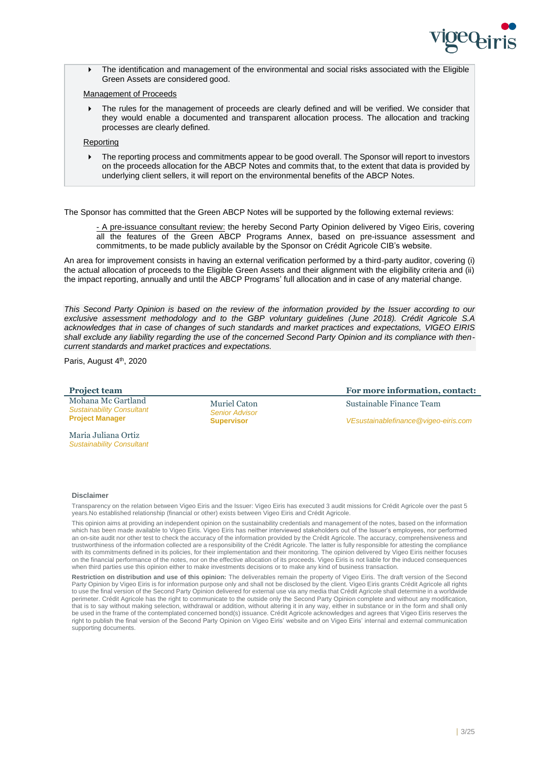

 The identification and management of the environmental and social risks associated with the Eligible Green Assets are considered good.

# Management of Proceeds

 The rules for the management of proceeds are clearly defined and will be verified. We consider that they would enable a documented and transparent allocation process. The allocation and tracking processes are clearly defined.

# Reporting

 The reporting process and commitments appear to be good overall. The Sponsor will report to investors on the proceeds allocation for the ABCP Notes and commits that, to the extent that data is provided by underlying client sellers, it will report on the environmental benefits of the ABCP Notes.

The Sponsor has committed that the Green ABCP Notes will be supported by the following external reviews:

- A pre-issuance consultant review: the hereby Second Party Opinion delivered by Vigeo Eiris, covering all the features of the Green ABCP Programs Annex, based on pre-issuance assessment and commitments, to be made publicly available by the Sponsor on Crédit Agricole CIB's website.

An area for improvement consists in having an external verification performed by a third-party auditor, covering (i) the actual allocation of proceeds to the Eligible Green Assets and their alignment with the eligibility criteria and (ii) the impact reporting, annually and until the ABCP Programs' full allocation and in case of any material change.

*This Second Party Opinion is based on the review of the information provided by the Issuer according to our exclusive assessment methodology and to the GBP voluntary guidelines (June 2018). Crédit Agricole S.A acknowledges that in case of changes of such standards and market practices and expectations, VIGEO EIRIS shall exclude any liability regarding the use of the concerned Second Party Opinion and its compliance with thencurrent standards and market practices and expectations.*

Paris, August 4<sup>th</sup>, 2020

*Sustainability Consultant*

#### **Project team For more information, contact:** Mohana Mc Gartland *Sustainability Consultant* **Project Manager** Maria Juliana Ortiz Muriel Caton *Senior Advisor* **Supervisor** Sustainable Finance Team *VEsustainablefinance@vigeo-eiris.com*

#### **Disclaimer**

Transparency on the relation between Vigeo Eiris and the Issuer: Vigeo Eiris has executed 3 audit missions for Crédit Agricole over the past 5 years.No established relationship (financial or other) exists between Vigeo Eiris and Crédit Agricole.

This opinion aims at providing an independent opinion on the sustainability credentials and management of the notes, based on the information which has been made available to Vigeo Eiris. Vigeo Eiris has neither interviewed stakeholders out of the Issuer's employees, nor performed an on-site audit nor other test to check the accuracy of the information provided by the Crédit Agricole. The accuracy, comprehensiveness and trustworthiness of the information collected are a responsibility of the Crédit Agricole. The latter is fully responsible for attesting the compliance with its commitments defined in its policies, for their implementation and their monitoring. The opinion delivered by Vigeo Eiris neither focuses on the financial performance of the notes, nor on the effective allocation of its proceeds. Vigeo Eiris is not liable for the induced consequences when third parties use this opinion either to make investments decisions or to make any kind of business transaction.

**Restriction on distribution and use of this opinion:** The deliverables remain the property of Vigeo Eiris. The draft version of the Second Party Opinion by Vigeo Eiris is for information purpose only and shall not be disclosed by the client. Vigeo Eiris grants Crédit Agricole all rights to use the final version of the Second Party Opinion delivered for external use via any media that Crédit Agricole shall determine in a worldwide perimeter. Crédit Agricole has the right to communicate to the outside only the Second Party Opinion complete and without any modification, that is to say without making selection, withdrawal or addition, without altering it in any way, either in substance or in the form and shall only be used in the frame of the contemplated concerned bond(s) issuance. Crédit Agricole acknowledges and agrees that Vigeo Eiris reserves the right to publish the final version of the Second Party Opinion on Vigeo Eiris' website and on Vigeo Eiris' internal and external communication supporting documents.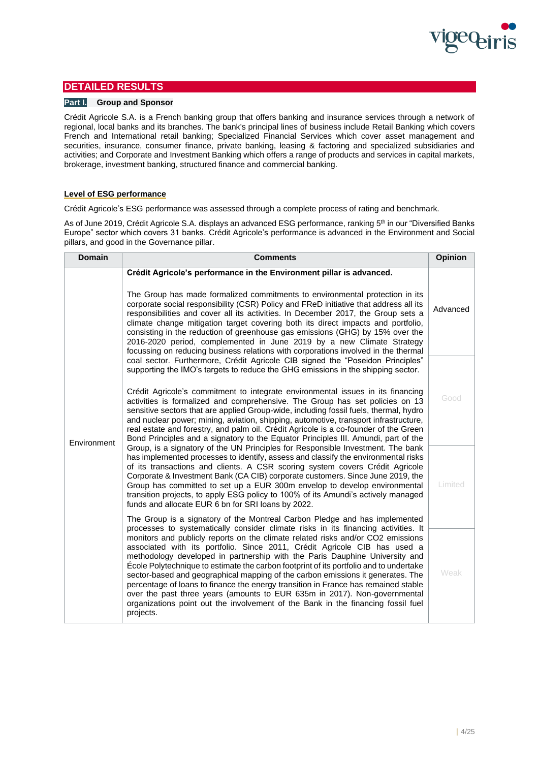

# **DETAILED RESULTS**

# **Part I. Group and Sponsor**

Crédit Agricole S.A. is a French banking group that offers banking and insurance services through a network of regional, local banks and its branches. The bank's principal lines of business include Retail Banking which covers French and International retail banking; Specialized Financial Services which cover asset management and securities, insurance, consumer finance, private banking, leasing & factoring and specialized subsidiaries and activities; and Corporate and Investment Banking which offers a range of products and services in capital markets, brokerage, investment banking, structured finance and commercial banking.

# **Level of ESG performance**

Crédit Agricole's ESG performance was assessed through a complete process of rating and benchmark.

As of June 2019, Crédit Agricole S.A. displays an advanced ESG performance, ranking 5<sup>th</sup> in our "Diversified Banks Europe" sector which covers 31 banks. Crédit Agricole's performance is advanced in the Environment and Social pillars, and good in the Governance pillar.

| <b>Domain</b> | <b>Comments</b>                                                                                                                                                                                                                                                                                                                                                                                                                                                                                                                                                                                                                                                                                                                                                                    | Opinion |
|---------------|------------------------------------------------------------------------------------------------------------------------------------------------------------------------------------------------------------------------------------------------------------------------------------------------------------------------------------------------------------------------------------------------------------------------------------------------------------------------------------------------------------------------------------------------------------------------------------------------------------------------------------------------------------------------------------------------------------------------------------------------------------------------------------|---------|
|               | Crédit Agricole's performance in the Environment pillar is advanced.<br>The Group has made formalized commitments to environmental protection in its<br>corporate social responsibility (CSR) Policy and FReD initiative that address all its<br>responsibilities and cover all its activities. In December 2017, the Group sets a<br>climate change mitigation target covering both its direct impacts and portfolio,<br>consisting in the reduction of greenhouse gas emissions (GHG) by 15% over the<br>2016-2020 period, complemented in June 2019 by a new Climate Strategy<br>focussing on reducing business relations with corporations involved in the thermal                                                                                                             |         |
| Environment   | coal sector. Furthermore, Crédit Agricole CIB signed the "Poseidon Principles"<br>supporting the IMO's targets to reduce the GHG emissions in the shipping sector.<br>Crédit Agricole's commitment to integrate environmental issues in its financing<br>activities is formalized and comprehensive. The Group has set policies on 13<br>sensitive sectors that are applied Group-wide, including fossil fuels, thermal, hydro<br>and nuclear power; mining, aviation, shipping, automotive, transport infrastructure,<br>real estate and forestry, and palm oil. Crédit Agricole is a co-founder of the Green<br>Bond Principles and a signatory to the Equator Principles III. Amundi, part of the                                                                               | Good    |
|               | Group, is a signatory of the UN Principles for Responsible Investment. The bank<br>has implemented processes to identify, assess and classify the environmental risks<br>of its transactions and clients. A CSR scoring system covers Crédit Agricole<br>Corporate & Investment Bank (CA CIB) corporate customers. Since June 2019, the<br>Group has committed to set up a EUR 300m envelop to develop environmental<br>transition projects, to apply ESG policy to 100% of its Amundi's actively managed<br>funds and allocate EUR 6 bn for SRI loans by 2022.<br>The Group is a signatory of the Montreal Carbon Pledge and has implemented                                                                                                                                      | Limited |
|               | processes to systematically consider climate risks in its financing activities. It<br>monitors and publicly reports on the climate related risks and/or CO2 emissions<br>associated with its portfolio. Since 2011, Crédit Agricole CIB has used a<br>methodology developed in partnership with the Paris Dauphine University and<br>École Polytechnique to estimate the carbon footprint of its portfolio and to undertake<br>sector-based and geographical mapping of the carbon emissions it generates. The<br>percentage of loans to finance the energy transition in France has remained stable<br>over the past three years (amounts to EUR 635m in 2017). Non-governmental<br>organizations point out the involvement of the Bank in the financing fossil fuel<br>projects. | Weak    |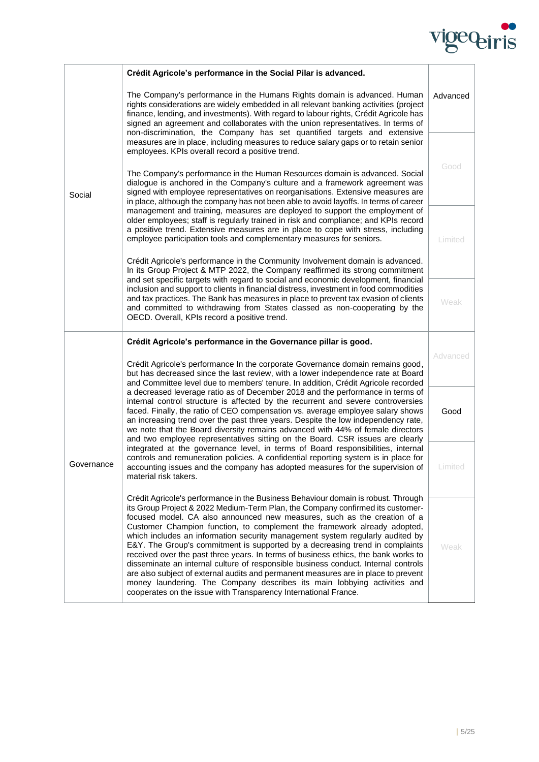

|            | Crédit Agricole's performance in the Social Pilar is advanced.                                                                                                                                                                                                                                                                                                                                                                                                                                                |         |  |
|------------|---------------------------------------------------------------------------------------------------------------------------------------------------------------------------------------------------------------------------------------------------------------------------------------------------------------------------------------------------------------------------------------------------------------------------------------------------------------------------------------------------------------|---------|--|
|            | The Company's performance in the Humans Rights domain is advanced. Human<br>rights considerations are widely embedded in all relevant banking activities (project<br>finance, lending, and investments). With regard to labour rights, Crédit Agricole has<br>signed an agreement and collaborates with the union representatives. In terms of<br>non-discrimination, the Company has set quantified targets and extensive                                                                                    |         |  |
| Social     | measures are in place, including measures to reduce salary gaps or to retain senior<br>employees. KPIs overall record a positive trend.                                                                                                                                                                                                                                                                                                                                                                       |         |  |
|            | The Company's performance in the Human Resources domain is advanced. Social<br>dialogue is anchored in the Company's culture and a framework agreement was<br>signed with employee representatives on reorganisations. Extensive measures are<br>in place, although the company has not been able to avoid layoffs. In terms of career                                                                                                                                                                        | Good    |  |
|            | management and training, measures are deployed to support the employment of<br>older employees; staff is regularly trained in risk and compliance; and KPIs record<br>a positive trend. Extensive measures are in place to cope with stress, including<br>employee participation tools and complementary measures for seniors.                                                                                                                                                                                | Limited |  |
|            | Crédit Agricole's performance in the Community Involvement domain is advanced.<br>In its Group Project & MTP 2022, the Company reaffirmed its strong commitment<br>and set specific targets with regard to social and economic development, financial                                                                                                                                                                                                                                                         |         |  |
|            | inclusion and support to clients in financial distress, investment in food commodities<br>and tax practices. The Bank has measures in place to prevent tax evasion of clients<br>and committed to withdrawing from States classed as non-cooperating by the<br>OECD. Overall, KPIs record a positive trend.                                                                                                                                                                                                   | Weak    |  |
|            | Crédit Agricole's performance in the Governance pillar is good.<br>Crédit Agricole's performance In the corporate Governance domain remains good,<br>but has decreased since the last review, with a lower independence rate at Board<br>and Committee level due to members' tenure. In addition, Crédit Agricole recorded                                                                                                                                                                                    |         |  |
| Governance |                                                                                                                                                                                                                                                                                                                                                                                                                                                                                                               |         |  |
|            | a decreased leverage ratio as of December 2018 and the performance in terms of<br>internal control structure is affected by the recurrent and severe controversies<br>faced. Finally, the ratio of CEO compensation vs. average employee salary shows<br>an increasing trend over the past three years. Despite the low independency rate,<br>we note that the Board diversity remains advanced with 44% of female directors<br>and two employee representatives sitting on the Board. CSR issues are clearly | Good    |  |
|            | integrated at the governance level, in terms of Board responsibilities, internal                                                                                                                                                                                                                                                                                                                                                                                                                              |         |  |
|            | controls and remuneration policies. A confidential reporting system is in place for<br>accounting issues and the company has adopted measures for the supervision of<br>material risk takers.                                                                                                                                                                                                                                                                                                                 | Limited |  |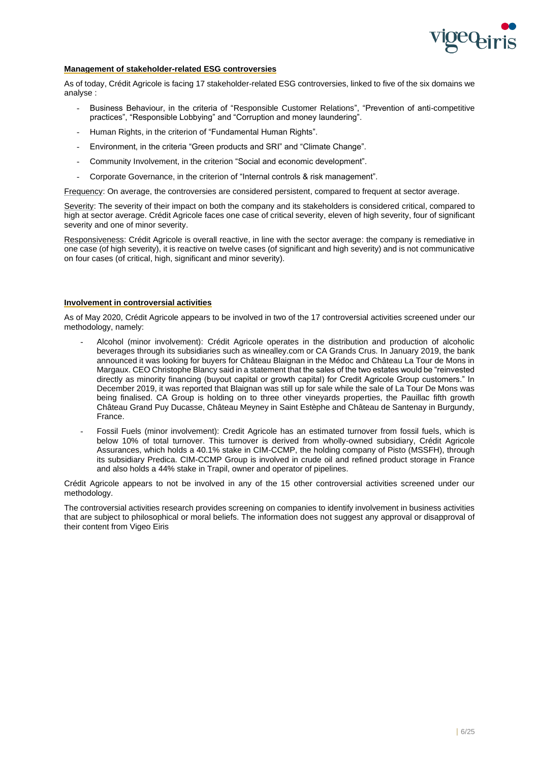

# **Management of stakeholder-related ESG controversies**

As of today, Crédit Agricole is facing 17 stakeholder-related ESG controversies, linked to five of the six domains we analyse :

- Business Behaviour, in the criteria of "Responsible Customer Relations", "Prevention of anti-competitive practices", "Responsible Lobbying" and "Corruption and money laundering".
- Human Rights, in the criterion of "Fundamental Human Rights".
- Environment, in the criteria "Green products and SRI" and "Climate Change".
- Community Involvement, in the criterion "Social and economic development".
- Corporate Governance, in the criterion of "Internal controls & risk management".

Frequency: On average, the controversies are considered persistent, compared to frequent at sector average.

Severity: The severity of their impact on both the company and its stakeholders is considered critical, compared to high at sector average. Crédit Agricole faces one case of critical severity, eleven of high severity, four of significant severity and one of minor severity.

Responsiveness: Crédit Agricole is overall reactive, in line with the sector average: the company is remediative in one case (of high severity), it is reactive on twelve cases (of significant and high severity) and is not communicative on four cases (of critical, high, significant and minor severity).

# **Involvement in controversial activities**

As of May 2020, Crédit Agricole appears to be involved in two of the 17 controversial activities screened under our methodology, namely:

- Alcohol (minor involvement): Crédit Agricole operates in the distribution and production of alcoholic beverages through its subsidiaries such as winealley.com or CA Grands Crus. In January 2019, the bank announced it was looking for buyers for Château Blaignan in the Médoc and Château La Tour de Mons in Margaux. CEO Christophe Blancy said in a statement that the sales of the two estates would be "reinvested directly as minority financing (buyout capital or growth capital) for Credit Agricole Group customers." In December 2019, it was reported that Blaignan was still up for sale while the sale of La Tour De Mons was being finalised. CA Group is holding on to three other vineyards properties, the Pauillac fifth growth Château Grand Puy Ducasse, Château Meyney in Saint Estèphe and Château de Santenay in Burgundy, France.
- Fossil Fuels (minor involvement): Credit Agricole has an estimated turnover from fossil fuels, which is below 10% of total turnover. This turnover is derived from wholly-owned subsidiary, Crédit Agricole Assurances, which holds a 40.1% stake in CIM-CCMP, the holding company of Pisto (MSSFH), through its subsidiary Predica. CIM-CCMP Group is involved in crude oil and refined product storage in France and also holds a 44% stake in Trapil, owner and operator of pipelines.

Crédit Agricole appears to not be involved in any of the 15 other controversial activities screened under our methodology.

The controversial activities research provides screening on companies to identify involvement in business activities that are subject to philosophical or moral beliefs. The information does not suggest any approval or disapproval of their content from Vigeo Eiris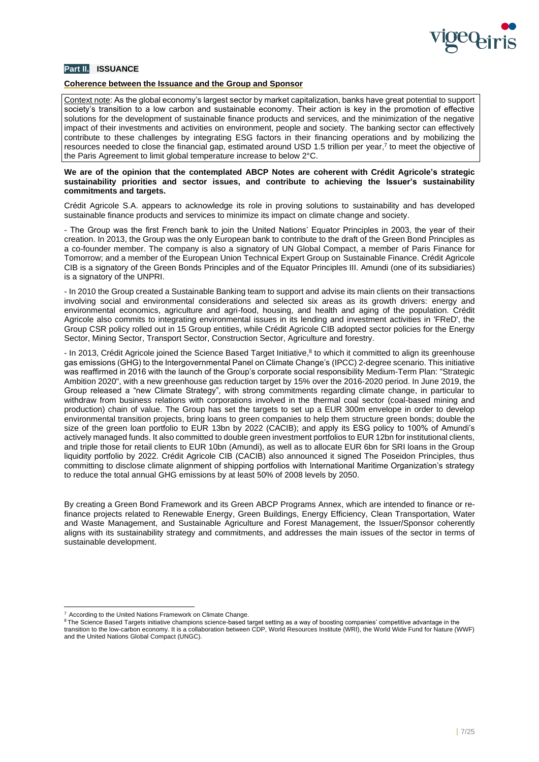

# **Part II. ISSUANCE**

# **Coherence between the Issuance and the Group and Sponsor**

Context note: As the global economy's largest sector by market capitalization, banks have great potential to support society's transition to a low carbon and sustainable economy. Their action is key in the promotion of effective solutions for the development of sustainable finance products and services, and the minimization of the negative impact of their investments and activities on environment, people and society. The banking sector can effectively contribute to these challenges by integrating ESG factors in their financing operations and by mobilizing the resources needed to close the financial gap, estimated around USD 1.5 trillion per year,<sup>7</sup> to meet the objective of the Paris Agreement to limit global temperature increase to below 2°C.

# **We are of the opinion that the contemplated ABCP Notes are coherent with Crédit Agricole's strategic sustainability priorities and sector issues, and contribute to achieving the Issuer's sustainability commitments and targets.**

Crédit Agricole S.A. appears to acknowledge its role in proving solutions to sustainability and has developed sustainable finance products and services to minimize its impact on climate change and society.

- The Group was the first French bank to join the United Nations' Equator Principles in 2003, the year of their creation. In 2013, the Group was the only European bank to contribute to the draft of the Green Bond Principles as a co-founder member. The company is also a signatory of UN Global Compact, a member of Paris Finance for Tomorrow; and a member of the European Union Technical Expert Group on Sustainable Finance. Crédit Agricole CIB is a signatory of the Green Bonds Principles and of the Equator Principles III. Amundi (one of its subsidiaries) is a signatory of the UNPRI.

- In 2010 the Group created a Sustainable Banking team to support and advise its main clients on their transactions involving social and environmental considerations and selected six areas as its growth drivers: energy and environmental economics, agriculture and agri-food, housing, and health and aging of the population. Crédit Agricole also commits to integrating environmental issues in its lending and investment activities in 'FReD', the Group CSR policy rolled out in 15 Group entities, while Crédit Agricole CIB adopted sector policies for the Energy Sector, Mining Sector, Transport Sector, Construction Sector, Agriculture and forestry.

- In 2013, Crédit Agricole joined the Science Based Target Initiative,<sup>8</sup> to which it committed to align its greenhouse gas emissions (GHG) to the Intergovernmental Panel on Climate Change's (IPCC) 2-degree scenario. This initiative was reaffirmed in 2016 with the launch of the Group's corporate social responsibility Medium-Term Plan: "Strategic Ambition 2020", with a new greenhouse gas reduction target by 15% over the 2016-2020 period. In June 2019, the Group released a "new Climate Strategy", with strong commitments regarding climate change, in particular to withdraw from business relations with corporations involved in the thermal coal sector (coal-based mining and production) chain of value. The Group has set the targets to set up a EUR 300m envelope in order to develop environmental transition projects, bring loans to green companies to help them structure green bonds; double the size of the green loan portfolio to EUR 13bn by 2022 (CACIB); and apply its ESG policy to 100% of Amundi's actively managed funds. It also committed to double green investment portfolios to EUR 12bn for institutional clients, and triple those for retail clients to EUR 10bn (Amundi), as well as to allocate EUR 6bn for SRI loans in the Group liquidity portfolio by 2022. Crédit Agricole CIB (CACIB) also announced it signed The Poseidon Principles, thus committing to disclose climate alignment of shipping portfolios with International Maritime Organization's strategy to reduce the total annual GHG emissions by at least 50% of 2008 levels by 2050.

By creating a Green Bond Framework and its Green ABCP Programs Annex, which are intended to finance or refinance projects related to Renewable Energy, Green Buildings, Energy Efficiency, Clean Transportation, Water and Waste Management, and Sustainable Agriculture and Forest Management, the Issuer/Sponsor coherently aligns with its sustainability strategy and commitments, and addresses the main issues of the sector in terms of sustainable development.

<sup>7</sup> According to the United Nations Framework on Climate Change.

<sup>&</sup>lt;sup>8</sup> The Science Based Targets initiative champions science-based target setting as a way of boosting companies' competitive advantage in the transition to the low-carbon economy. It is a collaboration between CDP, World Resources Institute (WRI), the World Wide Fund for Nature (WWF) and the United Nations Global Compact (UNGC).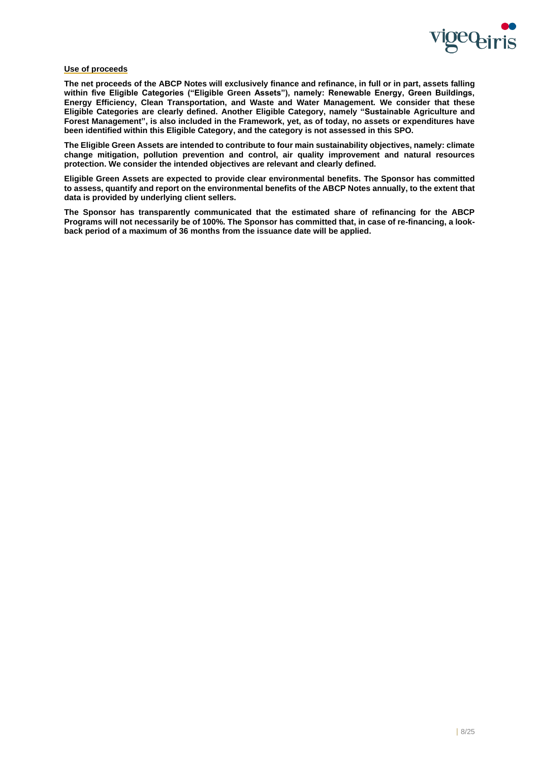

# **Use of proceeds**

**The net proceeds of the ABCP Notes will exclusively finance and refinance, in full or in part, assets falling within five Eligible Categories ("Eligible Green Assets"), namely: Renewable Energy, Green Buildings, Energy Efficiency, Clean Transportation, and Waste and Water Management. We consider that these Eligible Categories are clearly defined. Another Eligible Category, namely "Sustainable Agriculture and Forest Management", is also included in the Framework, yet, as of today, no assets or expenditures have been identified within this Eligible Category, and the category is not assessed in this SPO.**

**The Eligible Green Assets are intended to contribute to four main sustainability objectives, namely: climate change mitigation, pollution prevention and control, air quality improvement and natural resources protection. We consider the intended objectives are relevant and clearly defined.**

**Eligible Green Assets are expected to provide clear environmental benefits. The Sponsor has committed to assess, quantify and report on the environmental benefits of the ABCP Notes annually, to the extent that data is provided by underlying client sellers.**

**The Sponsor has transparently communicated that the estimated share of refinancing for the ABCP Programs will not necessarily be of 100%. The Sponsor has committed that, in case of re-financing, a lookback period of a maximum of 36 months from the issuance date will be applied.**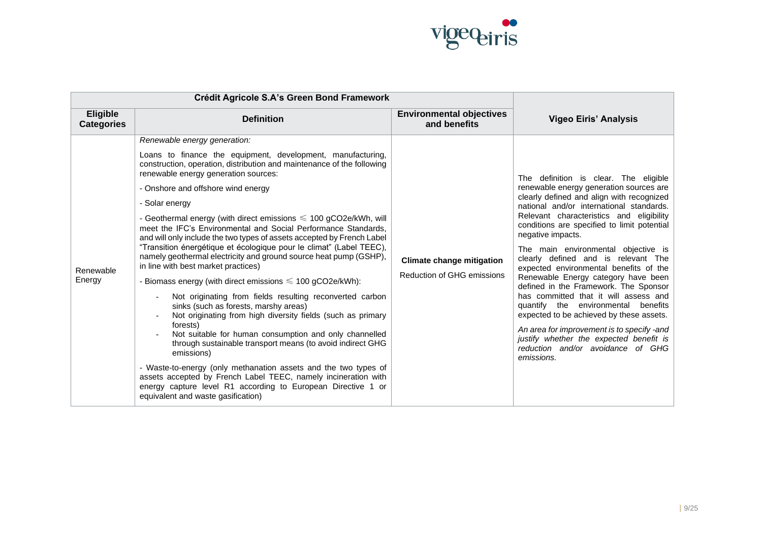

| Crédit Agricole S.A's Green Bond Framework |                                                                                                                                                                                                                                                                                                                                                                                                                                                                                                                                                                                                                                                                                                                                                                                                                                                                                                                                                                                                                                                                                                                                                                                                                                                                                                                  |                                                                |                                                                                                                                                                                                                                                                                                                                                                                                                                                                                                                                                                                                                                                                                                                                                                              |
|--------------------------------------------|------------------------------------------------------------------------------------------------------------------------------------------------------------------------------------------------------------------------------------------------------------------------------------------------------------------------------------------------------------------------------------------------------------------------------------------------------------------------------------------------------------------------------------------------------------------------------------------------------------------------------------------------------------------------------------------------------------------------------------------------------------------------------------------------------------------------------------------------------------------------------------------------------------------------------------------------------------------------------------------------------------------------------------------------------------------------------------------------------------------------------------------------------------------------------------------------------------------------------------------------------------------------------------------------------------------|----------------------------------------------------------------|------------------------------------------------------------------------------------------------------------------------------------------------------------------------------------------------------------------------------------------------------------------------------------------------------------------------------------------------------------------------------------------------------------------------------------------------------------------------------------------------------------------------------------------------------------------------------------------------------------------------------------------------------------------------------------------------------------------------------------------------------------------------------|
| <b>Eligible</b><br><b>Categories</b>       | <b>Definition</b>                                                                                                                                                                                                                                                                                                                                                                                                                                                                                                                                                                                                                                                                                                                                                                                                                                                                                                                                                                                                                                                                                                                                                                                                                                                                                                | <b>Environmental objectives</b><br>and benefits                | <b>Vigeo Eiris' Analysis</b>                                                                                                                                                                                                                                                                                                                                                                                                                                                                                                                                                                                                                                                                                                                                                 |
| Renewable<br>Energy                        | Renewable energy generation:<br>Loans to finance the equipment, development, manufacturing,<br>construction, operation, distribution and maintenance of the following<br>renewable energy generation sources:<br>- Onshore and offshore wind energy<br>- Solar energy<br>- Geothermal energy (with direct emissions $\leq 100$ gCO2e/kWh, will<br>meet the IFC's Environmental and Social Performance Standards,<br>and will only include the two types of assets accepted by French Label<br>"Transition énergétique et écologique pour le climat" (Label TEEC),<br>namely geothermal electricity and ground source heat pump (GSHP),<br>in line with best market practices)<br>- Biomass energy (with direct emissions $\leq 100$ gCO2e/kWh):<br>Not originating from fields resulting reconverted carbon<br>sinks (such as forests, marshy areas)<br>Not originating from high diversity fields (such as primary<br>forests)<br>Not suitable for human consumption and only channelled<br>through sustainable transport means (to avoid indirect GHG<br>emissions)<br>- Waste-to-energy (only methanation assets and the two types of<br>assets accepted by French Label TEEC, namely incineration with<br>energy capture level R1 according to European Directive 1 or<br>equivalent and waste gasification) | <b>Climate change mitigation</b><br>Reduction of GHG emissions | The definition is clear. The eligible<br>renewable energy generation sources are<br>clearly defined and align with recognized<br>national and/or international standards.<br>Relevant characteristics and eligibility<br>conditions are specified to limit potential<br>negative impacts.<br>The main environmental objective is<br>clearly defined and is relevant The<br>expected environmental benefits of the<br>Renewable Energy category have been<br>defined in the Framework. The Sponsor<br>has committed that it will assess and<br>quantify the environmental<br>benefits<br>expected to be achieved by these assets.<br>An area for improvement is to specify -and<br>justify whether the expected benefit is<br>reduction and/or avoidance of GHG<br>emissions. |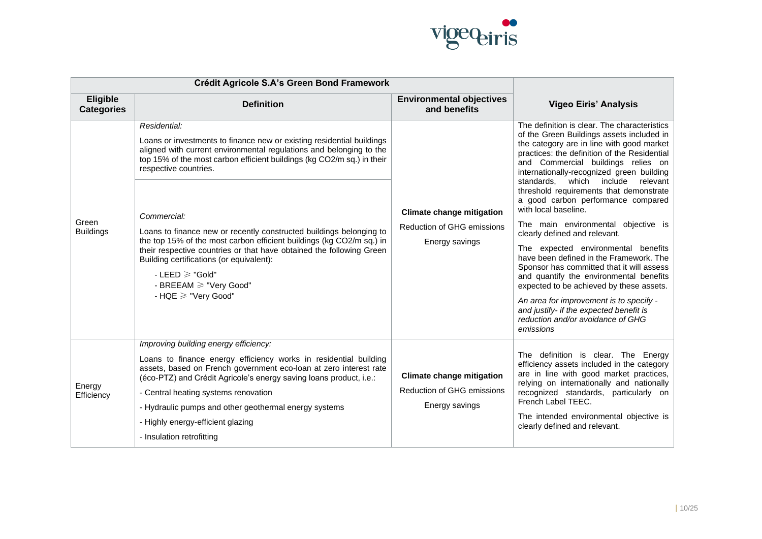

| Crédit Agricole S.A's Green Bond Framework |                                                                                                                                                                                                                                                                                                                                                                                                                                                                                                                                                                                                                                |                                                                                         |                                                                                                                                                                                                                                                                                                                                                                                                                                                                                                                                                                                                                                                                                                                                                                                                                                                                  |
|--------------------------------------------|--------------------------------------------------------------------------------------------------------------------------------------------------------------------------------------------------------------------------------------------------------------------------------------------------------------------------------------------------------------------------------------------------------------------------------------------------------------------------------------------------------------------------------------------------------------------------------------------------------------------------------|-----------------------------------------------------------------------------------------|------------------------------------------------------------------------------------------------------------------------------------------------------------------------------------------------------------------------------------------------------------------------------------------------------------------------------------------------------------------------------------------------------------------------------------------------------------------------------------------------------------------------------------------------------------------------------------------------------------------------------------------------------------------------------------------------------------------------------------------------------------------------------------------------------------------------------------------------------------------|
| <b>Eligible</b><br><b>Categories</b>       | <b>Definition</b>                                                                                                                                                                                                                                                                                                                                                                                                                                                                                                                                                                                                              | <b>Environmental objectives</b><br>and benefits                                         | <b>Vigeo Eiris' Analysis</b>                                                                                                                                                                                                                                                                                                                                                                                                                                                                                                                                                                                                                                                                                                                                                                                                                                     |
| Green<br><b>Buildings</b>                  | Residential:<br>Loans or investments to finance new or existing residential buildings<br>aligned with current environmental regulations and belonging to the<br>top 15% of the most carbon efficient buildings (kg CO2/m sq.) in their<br>respective countries.<br>Commercial:<br>Loans to finance new or recently constructed buildings belonging to<br>the top 15% of the most carbon efficient buildings (kg CO2/m sq.) in<br>their respective countries or that have obtained the following Green<br>Building certifications (or equivalent):<br>$-LEED \geq$ "Gold"<br>- BREEAM $\geq$ "Very Good"<br>- HQE ≥ "Very Good" | <b>Climate change mitigation</b><br><b>Reduction of GHG emissions</b><br>Energy savings | The definition is clear. The characteristics<br>of the Green Buildings assets included in<br>the category are in line with good market<br>practices: the definition of the Residential<br>and Commercial buildings relies on<br>internationally-recognized green building<br>standards. which include<br>relevant<br>threshold requirements that demonstrate<br>a good carbon performance compared<br>with local baseline.<br>The main environmental objective is<br>clearly defined and relevant.<br>The expected environmental benefits<br>have been defined in the Framework. The<br>Sponsor has committed that it will assess<br>and quantify the environmental benefits<br>expected to be achieved by these assets.<br>An area for improvement is to specify -<br>and justify- if the expected benefit is<br>reduction and/or avoidance of GHG<br>emissions |
| Energy<br>Efficiency                       | Improving building energy efficiency:<br>Loans to finance energy efficiency works in residential building<br>assets, based on French government eco-loan at zero interest rate<br>(éco-PTZ) and Crédit Agricole's energy saving loans product, i.e.:<br>- Central heating systems renovation<br>- Hydraulic pumps and other geothermal energy systems<br>- Highly energy-efficient glazing<br>- Insulation retrofitting                                                                                                                                                                                                        | <b>Climate change mitigation</b><br><b>Reduction of GHG emissions</b><br>Energy savings | The definition is clear. The Energy<br>efficiency assets included in the category<br>are in line with good market practices,<br>relying on internationally and nationally<br>recognized standards, particularly on<br>French Label TEEC.<br>The intended environmental objective is<br>clearly defined and relevant.                                                                                                                                                                                                                                                                                                                                                                                                                                                                                                                                             |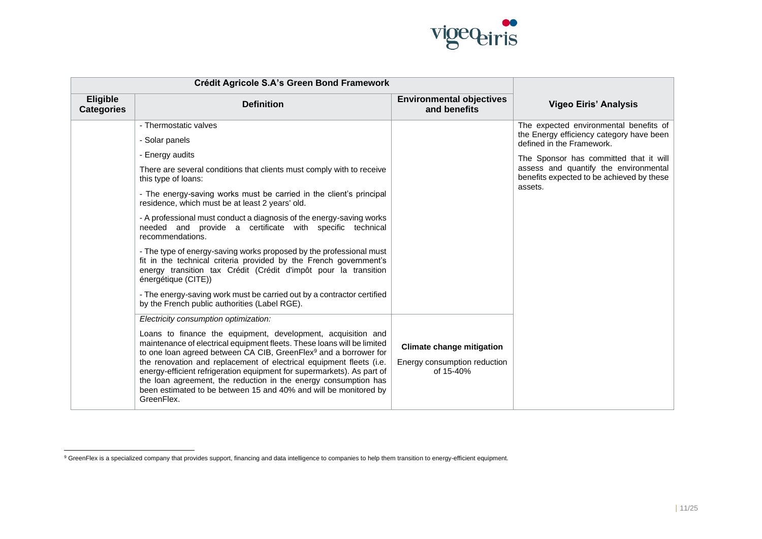

| Crédit Agricole S.A's Green Bond Framework |                                                                                                                                                                                                                                                                                                                                                                                                                                                                                                                               |                                                                               |                                                                                               |
|--------------------------------------------|-------------------------------------------------------------------------------------------------------------------------------------------------------------------------------------------------------------------------------------------------------------------------------------------------------------------------------------------------------------------------------------------------------------------------------------------------------------------------------------------------------------------------------|-------------------------------------------------------------------------------|-----------------------------------------------------------------------------------------------|
| <b>Eligible</b><br><b>Categories</b>       | <b>Definition</b>                                                                                                                                                                                                                                                                                                                                                                                                                                                                                                             | <b>Environmental objectives</b><br>and benefits                               | <b>Vigeo Eiris' Analysis</b>                                                                  |
|                                            | - Thermostatic valves                                                                                                                                                                                                                                                                                                                                                                                                                                                                                                         |                                                                               | The expected environmental benefits of                                                        |
|                                            | - Solar panels                                                                                                                                                                                                                                                                                                                                                                                                                                                                                                                |                                                                               | the Energy efficiency category have been<br>defined in the Framework.                         |
|                                            | - Energy audits                                                                                                                                                                                                                                                                                                                                                                                                                                                                                                               |                                                                               | The Sponsor has committed that it will                                                        |
|                                            | There are several conditions that clients must comply with to receive<br>this type of loans:                                                                                                                                                                                                                                                                                                                                                                                                                                  |                                                                               | assess and quantify the environmental<br>benefits expected to be achieved by these<br>assets. |
|                                            | - The energy-saving works must be carried in the client's principal<br>residence, which must be at least 2 years' old.                                                                                                                                                                                                                                                                                                                                                                                                        |                                                                               |                                                                                               |
|                                            | - A professional must conduct a diagnosis of the energy-saving works<br>needed and provide a certificate with specific technical<br>recommendations.                                                                                                                                                                                                                                                                                                                                                                          |                                                                               |                                                                                               |
|                                            | - The type of energy-saving works proposed by the professional must<br>fit in the technical criteria provided by the French government's<br>energy transition tax Crédit (Crédit d'impôt pour la transition<br>énergétique (CITE))                                                                                                                                                                                                                                                                                            |                                                                               |                                                                                               |
|                                            | - The energy-saving work must be carried out by a contractor certified<br>by the French public authorities (Label RGE).                                                                                                                                                                                                                                                                                                                                                                                                       |                                                                               |                                                                                               |
|                                            | Electricity consumption optimization:                                                                                                                                                                                                                                                                                                                                                                                                                                                                                         |                                                                               |                                                                                               |
|                                            | Loans to finance the equipment, development, acquisition and<br>maintenance of electrical equipment fleets. These loans will be limited<br>to one loan agreed between CA CIB, GreenFlex <sup>9</sup> and a borrower for<br>the renovation and replacement of electrical equipment fleets (i.e.<br>energy-efficient refrigeration equipment for supermarkets). As part of<br>the loan agreement, the reduction in the energy consumption has<br>been estimated to be between 15 and 40% and will be monitored by<br>GreenFlex. | <b>Climate change mitigation</b><br>Energy consumption reduction<br>of 15-40% |                                                                                               |

<sup>&</sup>lt;sup>9</sup> GreenFlex is a specialized company that provides support, financing and data intelligence to companies to help them transition to energy-efficient equipment.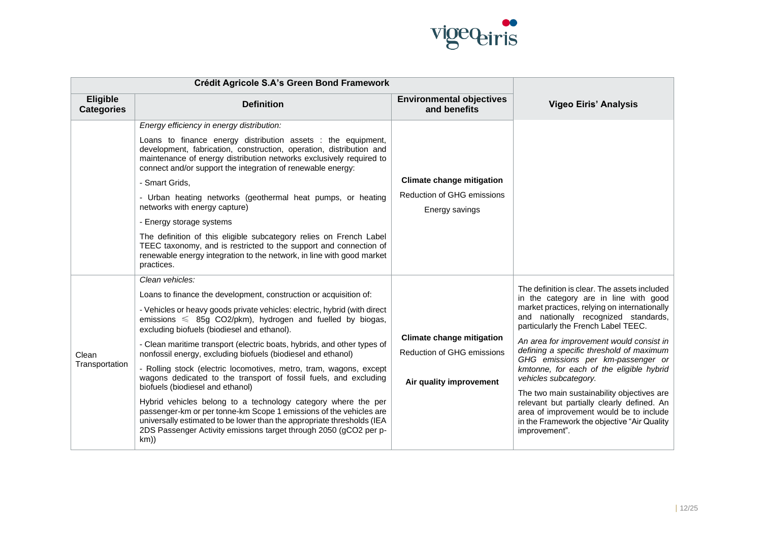

|                               | Crédit Agricole S.A's Green Bond Framework                                                                                                                                                                                                                                                |                                                     |                                                                                                                                                                                                     |
|-------------------------------|-------------------------------------------------------------------------------------------------------------------------------------------------------------------------------------------------------------------------------------------------------------------------------------------|-----------------------------------------------------|-----------------------------------------------------------------------------------------------------------------------------------------------------------------------------------------------------|
| Eligible<br><b>Categories</b> | <b>Definition</b>                                                                                                                                                                                                                                                                         | <b>Environmental objectives</b><br>and benefits     | <b>Vigeo Eiris' Analysis</b>                                                                                                                                                                        |
|                               | Energy efficiency in energy distribution:                                                                                                                                                                                                                                                 |                                                     |                                                                                                                                                                                                     |
|                               | Loans to finance energy distribution assets : the equipment,<br>development, fabrication, construction, operation, distribution and<br>maintenance of energy distribution networks exclusively required to<br>connect and/or support the integration of renewable energy:                 |                                                     |                                                                                                                                                                                                     |
|                               | - Smart Grids,                                                                                                                                                                                                                                                                            | <b>Climate change mitigation</b>                    |                                                                                                                                                                                                     |
|                               | - Urban heating networks (geothermal heat pumps, or heating<br>networks with energy capture)                                                                                                                                                                                              | <b>Reduction of GHG emissions</b><br>Energy savings |                                                                                                                                                                                                     |
|                               | - Energy storage systems                                                                                                                                                                                                                                                                  |                                                     |                                                                                                                                                                                                     |
|                               | The definition of this eligible subcategory relies on French Label<br>TEEC taxonomy, and is restricted to the support and connection of<br>renewable energy integration to the network, in line with good market<br>practices.                                                            |                                                     |                                                                                                                                                                                                     |
|                               | Clean vehicles:                                                                                                                                                                                                                                                                           |                                                     |                                                                                                                                                                                                     |
|                               | Loans to finance the development, construction or acquisition of:                                                                                                                                                                                                                         |                                                     | The definition is clear. The assets included<br>in the category are in line with good                                                                                                               |
|                               | - Vehicles or heavy goods private vehicles: electric, hybrid (with direct<br>emissions $\leq$ 85g CO2/pkm), hydrogen and fuelled by biogas,<br>excluding biofuels (biodiesel and ethanol).                                                                                                |                                                     | market practices, relying on internationally<br>and nationally recognized standards,<br>particularly the French Label TEEC.                                                                         |
|                               | - Clean maritime transport (electric boats, hybrids, and other types of                                                                                                                                                                                                                   | <b>Climate change mitigation</b>                    | An area for improvement would consist in                                                                                                                                                            |
| Clean                         | nonfossil energy, excluding biofuels (biodiesel and ethanol)                                                                                                                                                                                                                              | <b>Reduction of GHG emissions</b>                   | defining a specific threshold of maximum<br>GHG emissions per km-passenger or                                                                                                                       |
| Transportation                | - Rolling stock (electric locomotives, metro, tram, wagons, except<br>wagons dedicated to the transport of fossil fuels, and excluding<br>biofuels (biodiesel and ethanol)                                                                                                                | Air quality improvement                             | kmtonne, for each of the eligible hybrid<br>vehicles subcategory.                                                                                                                                   |
|                               | Hybrid vehicles belong to a technology category where the per<br>passenger-km or per tonne-km Scope 1 emissions of the vehicles are<br>universally estimated to be lower than the appropriate thresholds (IEA<br>2DS Passenger Activity emissions target through 2050 (gCO2 per p-<br>km) |                                                     | The two main sustainability objectives are<br>relevant but partially clearly defined. An<br>area of improvement would be to include<br>in the Framework the objective "Air Quality<br>improvement". |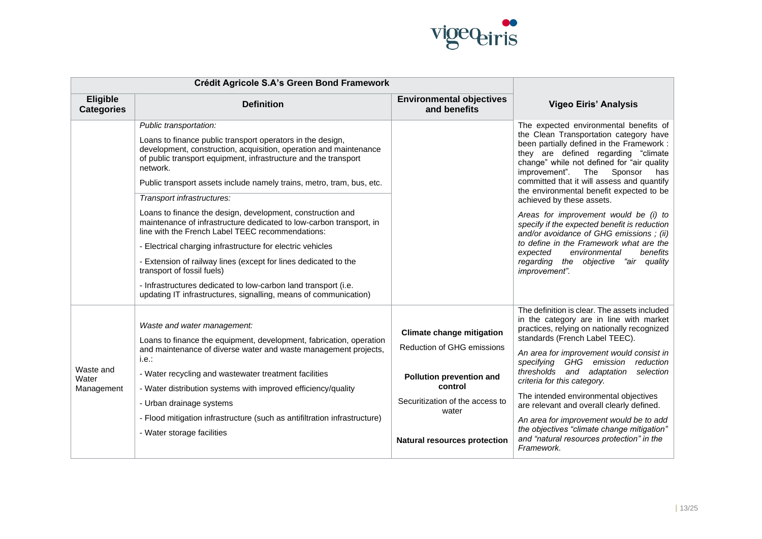

|                                  | Crédit Agricole S.A's Green Bond Framework                                                                                                                                                                                                                                                                                                                                                                                                      |                                                                                                                                                                                                 |                                                                                                                                                                                                                                                                                                                                                                                                                                                                                                                                                                                 |
|----------------------------------|-------------------------------------------------------------------------------------------------------------------------------------------------------------------------------------------------------------------------------------------------------------------------------------------------------------------------------------------------------------------------------------------------------------------------------------------------|-------------------------------------------------------------------------------------------------------------------------------------------------------------------------------------------------|---------------------------------------------------------------------------------------------------------------------------------------------------------------------------------------------------------------------------------------------------------------------------------------------------------------------------------------------------------------------------------------------------------------------------------------------------------------------------------------------------------------------------------------------------------------------------------|
| Eligible<br><b>Categories</b>    | <b>Definition</b>                                                                                                                                                                                                                                                                                                                                                                                                                               | <b>Environmental objectives</b><br>and benefits                                                                                                                                                 | <b>Vigeo Eiris' Analysis</b>                                                                                                                                                                                                                                                                                                                                                                                                                                                                                                                                                    |
|                                  | Public transportation:                                                                                                                                                                                                                                                                                                                                                                                                                          |                                                                                                                                                                                                 | The expected environmental benefits of                                                                                                                                                                                                                                                                                                                                                                                                                                                                                                                                          |
|                                  | Loans to finance public transport operators in the design,<br>development, construction, acquisition, operation and maintenance<br>of public transport equipment, infrastructure and the transport<br>network.                                                                                                                                                                                                                                  |                                                                                                                                                                                                 | the Clean Transportation category have<br>been partially defined in the Framework :<br>they are defined regarding "climate<br>change" while not defined for "air quality<br>improvement". The<br>Sponsor<br>has                                                                                                                                                                                                                                                                                                                                                                 |
|                                  | Public transport assets include namely trains, metro, tram, bus, etc.                                                                                                                                                                                                                                                                                                                                                                           |                                                                                                                                                                                                 | committed that it will assess and quantify<br>the environmental benefit expected to be                                                                                                                                                                                                                                                                                                                                                                                                                                                                                          |
|                                  | Transport infrastructures:                                                                                                                                                                                                                                                                                                                                                                                                                      |                                                                                                                                                                                                 | achieved by these assets.                                                                                                                                                                                                                                                                                                                                                                                                                                                                                                                                                       |
|                                  | Loans to finance the design, development, construction and<br>maintenance of infrastructure dedicated to low-carbon transport, in<br>line with the French Label TEEC recommendations:                                                                                                                                                                                                                                                           |                                                                                                                                                                                                 | Areas for improvement would be (i) to<br>specify if the expected benefit is reduction<br>and/or avoidance of GHG emissions; (ii)                                                                                                                                                                                                                                                                                                                                                                                                                                                |
|                                  | - Electrical charging infrastructure for electric vehicles                                                                                                                                                                                                                                                                                                                                                                                      |                                                                                                                                                                                                 | to define in the Framework what are the<br>environmental<br>benefits<br>expected                                                                                                                                                                                                                                                                                                                                                                                                                                                                                                |
|                                  | - Extension of railway lines (except for lines dedicated to the<br>transport of fossil fuels)                                                                                                                                                                                                                                                                                                                                                   |                                                                                                                                                                                                 | regarding the objective "air quality<br>improvement".                                                                                                                                                                                                                                                                                                                                                                                                                                                                                                                           |
|                                  | - Infrastructures dedicated to low-carbon land transport (i.e.<br>updating IT infrastructures, signalling, means of communication)                                                                                                                                                                                                                                                                                                              |                                                                                                                                                                                                 |                                                                                                                                                                                                                                                                                                                                                                                                                                                                                                                                                                                 |
| Waste and<br>Water<br>Management | Waste and water management:<br>Loans to finance the equipment, development, fabrication, operation<br>and maintenance of diverse water and waste management projects,<br>i.e.:<br>- Water recycling and wastewater treatment facilities<br>- Water distribution systems with improved efficiency/quality<br>- Urban drainage systems<br>- Flood mitigation infrastructure (such as antifiltration infrastructure)<br>- Water storage facilities | <b>Climate change mitigation</b><br><b>Reduction of GHG emissions</b><br>Pollution prevention and<br>control<br>Securitization of the access to<br>water<br><b>Natural resources protection</b> | The definition is clear. The assets included<br>in the category are in line with market<br>practices, relying on nationally recognized<br>standards (French Label TEEC).<br>An area for improvement would consist in<br>specifying GHG emission<br>reduction<br>thresholds and adaptation<br>selection<br>criteria for this category.<br>The intended environmental objectives<br>are relevant and overall clearly defined.<br>An area for improvement would be to add<br>the objectives "climate change mitigation"<br>and "natural resources protection" in the<br>Framework. |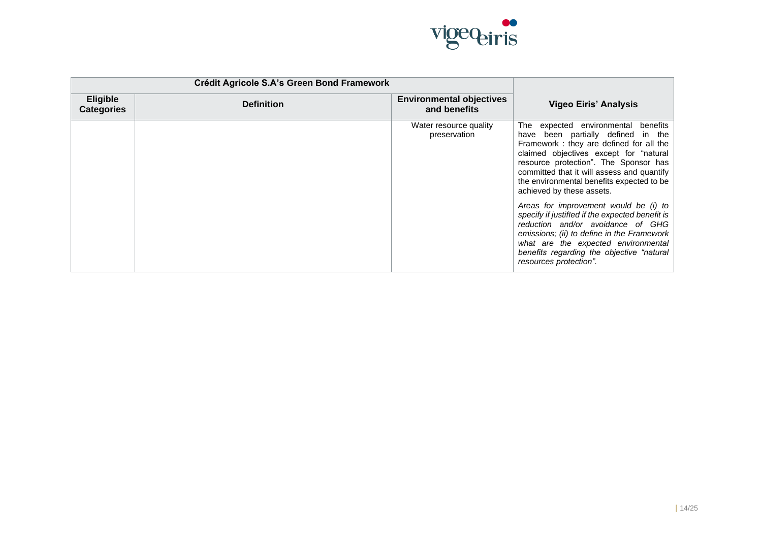

|                                      | Crédit Agricole S.A's Green Bond Framework |                                                 |                                                                                                                                                                                                                                                                                                                                 |
|--------------------------------------|--------------------------------------------|-------------------------------------------------|---------------------------------------------------------------------------------------------------------------------------------------------------------------------------------------------------------------------------------------------------------------------------------------------------------------------------------|
| <b>Eligible</b><br><b>Categories</b> | <b>Definition</b>                          | <b>Environmental objectives</b><br>and benefits | <b>Vigeo Eiris' Analysis</b>                                                                                                                                                                                                                                                                                                    |
|                                      |                                            | Water resource quality<br>preservation          | The expected environmental benefits<br>have been partially defined in the<br>Framework: they are defined for all the<br>claimed objectives except for "natural<br>resource protection". The Sponsor has<br>committed that it will assess and quantify<br>the environmental benefits expected to be<br>achieved by these assets. |
|                                      |                                            |                                                 | Areas for improvement would be (i) to<br>specify if justifled if the expected benefit is<br>reduction and/or avoidance of GHG<br>emissions; (ii) to define in the Framework<br>what are the expected environmental<br>benefits regarding the objective "natural<br>resources protection".                                       |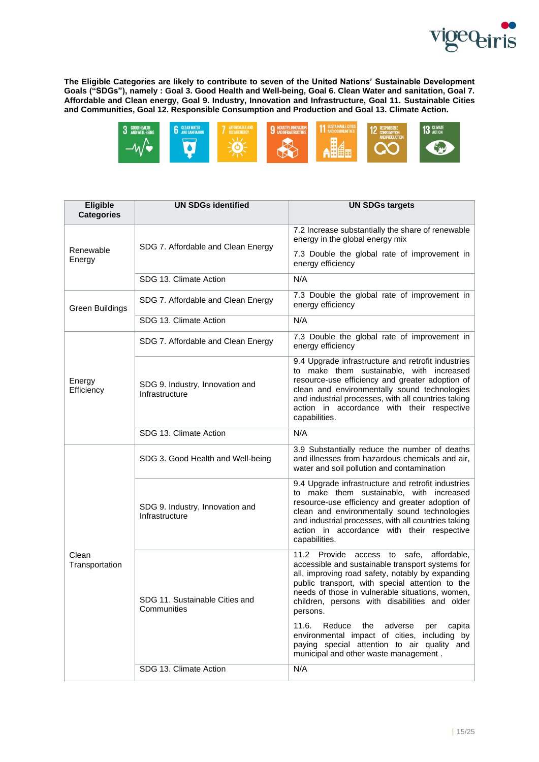

**The Eligible Categories are likely to contribute to seven of the United Nations' Sustainable Development Goals ("SDGs"), namely : Goal 3. Good Health and Well-being, Goal 6. Clean Water and sanitation, Goal 7. Affordable and Clean energy, Goal 9. Industry, Innovation and Infrastructure, Goal 11. Sustainable Cities and Communities, Goal 12. Responsible Consumption and Production and Goal 13. Climate Action.**



| Eligible<br><b>Categories</b> | <b>UN SDGs identified</b>                         | <b>UN SDGs targets</b>                                                                                                                                                                                                                                                                                                          |  |
|-------------------------------|---------------------------------------------------|---------------------------------------------------------------------------------------------------------------------------------------------------------------------------------------------------------------------------------------------------------------------------------------------------------------------------------|--|
|                               | SDG 7. Affordable and Clean Energy                | 7.2 Increase substantially the share of renewable<br>energy in the global energy mix                                                                                                                                                                                                                                            |  |
| Renewable<br>Energy           |                                                   | 7.3 Double the global rate of improvement in<br>energy efficiency                                                                                                                                                                                                                                                               |  |
|                               | SDG 13. Climate Action                            | N/A                                                                                                                                                                                                                                                                                                                             |  |
| <b>Green Buildings</b>        | SDG 7. Affordable and Clean Energy                | 7.3 Double the global rate of improvement in<br>energy efficiency                                                                                                                                                                                                                                                               |  |
|                               | SDG 13. Climate Action                            | N/A                                                                                                                                                                                                                                                                                                                             |  |
|                               | SDG 7. Affordable and Clean Energy                | 7.3 Double the global rate of improvement in<br>energy efficiency                                                                                                                                                                                                                                                               |  |
| Energy<br>Efficiency          | SDG 9. Industry, Innovation and<br>Infrastructure | 9.4 Upgrade infrastructure and retrofit industries<br>to make them sustainable, with increased<br>resource-use efficiency and greater adoption of<br>clean and environmentally sound technologies<br>and industrial processes, with all countries taking<br>action in accordance with their respective<br>capabilities.         |  |
|                               | SDG 13. Climate Action                            | N/A                                                                                                                                                                                                                                                                                                                             |  |
|                               | SDG 3. Good Health and Well-being                 | 3.9 Substantially reduce the number of deaths<br>and illnesses from hazardous chemicals and air,<br>water and soil pollution and contamination                                                                                                                                                                                  |  |
|                               | SDG 9. Industry, Innovation and<br>Infrastructure | 9.4 Upgrade infrastructure and retrofit industries<br>to make them sustainable, with increased<br>resource-use efficiency and greater adoption of<br>clean and environmentally sound technologies<br>and industrial processes, with all countries taking<br>action in accordance with their respective<br>capabilities.         |  |
| Clean<br>Transportation       | SDG 11. Sustainable Cities and<br>Communities     | 11.2 Provide<br>access<br>to<br>safe,<br>affordable,<br>accessible and sustainable transport systems for<br>all, improving road safety, notably by expanding<br>public transport, with special attention to the<br>needs of those in vulnerable situations, women,<br>children, persons with disabilities and older<br>persons. |  |
|                               |                                                   | 11.6.<br>Reduce the<br>adverse<br>capita<br>per<br>environmental impact of cities, including by<br>paying special attention to air quality and<br>municipal and other waste management.                                                                                                                                         |  |
|                               | SDG 13. Climate Action                            | N/A                                                                                                                                                                                                                                                                                                                             |  |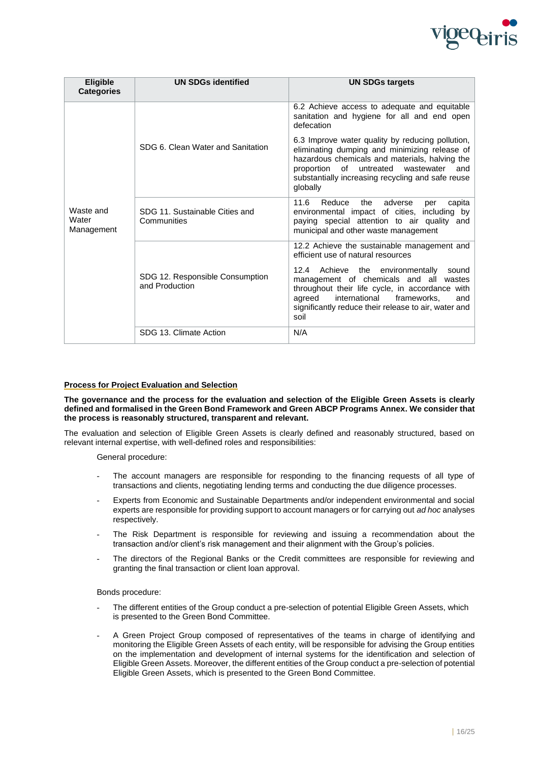

| Eligible<br><b>Categories</b>    | <b>UN SDGs identified</b>                         | <b>UN SDGs targets</b>                                                                                                                                                                                                                                                                                                                          |
|----------------------------------|---------------------------------------------------|-------------------------------------------------------------------------------------------------------------------------------------------------------------------------------------------------------------------------------------------------------------------------------------------------------------------------------------------------|
| Waste and<br>Water<br>Management |                                                   | 6.2 Achieve access to adequate and equitable<br>sanitation and hygiene for all and end open<br>defecation                                                                                                                                                                                                                                       |
|                                  | SDG 6. Clean Water and Sanitation                 | 6.3 Improve water quality by reducing pollution,<br>eliminating dumping and minimizing release of<br>hazardous chemicals and materials, halving the<br>proportion of<br>untreated<br>wastewater<br>and<br>substantially increasing recycling and safe reuse<br>globally                                                                         |
|                                  | SDG 11. Sustainable Cities and<br>Communities     | 11.6<br>Reduce<br>adverse<br>capita<br>the<br>per<br>environmental impact of cities, including by<br>paying special attention to air quality<br>and<br>municipal and other waste management                                                                                                                                                     |
|                                  | SDG 12. Responsible Consumption<br>and Production | 12.2 Achieve the sustainable management and<br>efficient use of natural resources<br>12.4<br>Achieve the environmentally<br>sound<br>management of chemicals and all wastes<br>throughout their life cycle, in accordance with<br>agreed<br>international<br>frameworks.<br>and<br>significantly reduce their release to air, water and<br>soil |
|                                  | SDG 13. Climate Action                            | N/A                                                                                                                                                                                                                                                                                                                                             |

# **Process for Project Evaluation and Selection**

**The governance and the process for the evaluation and selection of the Eligible Green Assets is clearly defined and formalised in the Green Bond Framework and Green ABCP Programs Annex. We consider that the process is reasonably structured, transparent and relevant.**

The evaluation and selection of Eligible Green Assets is clearly defined and reasonably structured, based on relevant internal expertise, with well-defined roles and responsibilities:

General procedure:

- The account managers are responsible for responding to the financing requests of all type of transactions and clients, negotiating lending terms and conducting the due diligence processes.
- Experts from Economic and Sustainable Departments and/or independent environmental and social experts are responsible for providing support to account managers or for carrying out *ad hoc* analyses respectively.
- The Risk Department is responsible for reviewing and issuing a recommendation about the transaction and/or client's risk management and their alignment with the Group's policies.
- The directors of the Regional Banks or the Credit committees are responsible for reviewing and granting the final transaction or client loan approval.

Bonds procedure:

- The different entities of the Group conduct a pre-selection of potential Eligible Green Assets, which is presented to the Green Bond Committee.
- A Green Project Group composed of representatives of the teams in charge of identifying and monitoring the Eligible Green Assets of each entity, will be responsible for advising the Group entities on the implementation and development of internal systems for the identification and selection of Eligible Green Assets. Moreover, the different entities of the Group conduct a pre-selection of potential Eligible Green Assets, which is presented to the Green Bond Committee.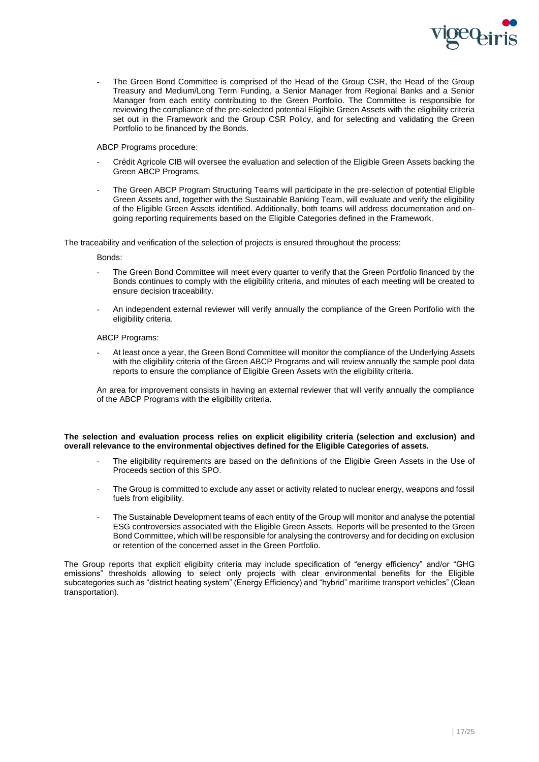

The Green Bond Committee is comprised of the Head of the Group CSR, the Head of the Group Treasury and Medium/Long Term Funding, a Senior Manager from Regional Banks and a Senior Manager from each entity contributing to the Green Portfolio. The Committee is responsible for reviewing the compliance of the pre-selected potential Eligible Green Assets with the eligibility criteria set out in the Framework and the Group CSR Policy, and for selecting and validating the Green Portfolio to be financed by the Bonds.

ABCP Programs procedure:

- Crédit Agricole CIB will oversee the evaluation and selection of the Eligible Green Assets backing the Green ABCP Programs.
- The Green ABCP Program Structuring Teams will participate in the pre-selection of potential Eligible Green Assets and, together with the Sustainable Banking Team, will evaluate and verify the eligibility of the Eligible Green Assets identified. Additionally, both teams will address documentation and ongoing reporting requirements based on the Eligible Categories defined in the Framework.

The traceability and verification of the selection of projects is ensured throughout the process:

Bonds:

- The Green Bond Committee will meet every quarter to verify that the Green Portfolio financed by the Bonds continues to comply with the eligibility criteria, and minutes of each meeting will be created to ensure decision traceability.
- An independent external reviewer will verify annually the compliance of the Green Portfolio with the eligibility criteria.

ABCP Programs:

At least once a year, the Green Bond Committee will monitor the compliance of the Underlying Assets with the eligibility criteria of the Green ABCP Programs and will review annually the sample pool data reports to ensure the compliance of Eligible Green Assets with the eligibility criteria.

An area for improvement consists in having an external reviewer that will verify annually the compliance of the ABCP Programs with the eligibility criteria.

**The selection and evaluation process relies on explicit eligibility criteria (selection and exclusion) and overall relevance to the environmental objectives defined for the Eligible Categories of assets.**

- The eligibility requirements are based on the definitions of the Eligible Green Assets in the Use of Proceeds section of this SPO.
- The Group is committed to exclude any asset or activity related to nuclear energy, weapons and fossil fuels from eligibility.
- The Sustainable Development teams of each entity of the Group will monitor and analyse the potential ESG controversies associated with the Eligible Green Assets. Reports will be presented to the Green Bond Committee, which will be responsible for analysing the controversy and for deciding on exclusion or retention of the concerned asset in the Green Portfolio.

The Group reports that explicit eligibilty criteria may include specification of "energy efficiency" and/or "GHG emissions" thresholds allowing to select only projects with clear environmental benefits for the Eligible subcategories such as "district heating system" (Energy Efficiency) and "hybrid" maritime transport vehicles" (Clean transportation).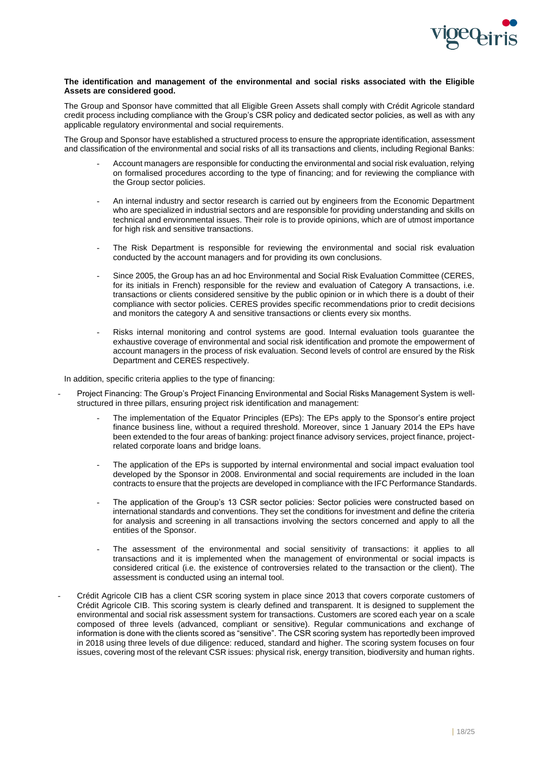

# **The identification and management of the environmental and social risks associated with the Eligible Assets are considered good.**

The Group and Sponsor have committed that all Eligible Green Assets shall comply with Crédit Agricole standard credit process including compliance with the Group's CSR policy and dedicated sector policies, as well as with any applicable regulatory environmental and social requirements.

The Group and Sponsor have established a structured process to ensure the appropriate identification, assessment and classification of the environmental and social risks of all its transactions and clients, including Regional Banks:

- Account managers are responsible for conducting the environmental and social risk evaluation, relying on formalised procedures according to the type of financing; and for reviewing the compliance with the Group sector policies.
- An internal industry and sector research is carried out by engineers from the Economic Department who are specialized in industrial sectors and are responsible for providing understanding and skills on technical and environmental issues. Their role is to provide opinions, which are of utmost importance for high risk and sensitive transactions.
- The Risk Department is responsible for reviewing the environmental and social risk evaluation conducted by the account managers and for providing its own conclusions.
- Since 2005, the Group has an ad hoc Environmental and Social Risk Evaluation Committee (CERES, for its initials in French) responsible for the review and evaluation of Category A transactions, i.e. transactions or clients considered sensitive by the public opinion or in which there is a doubt of their compliance with sector policies. CERES provides specific recommendations prior to credit decisions and monitors the category A and sensitive transactions or clients every six months.
- Risks internal monitoring and control systems are good. Internal evaluation tools guarantee the exhaustive coverage of environmental and social risk identification and promote the empowerment of account managers in the process of risk evaluation. Second levels of control are ensured by the Risk Department and CERES respectively.

In addition, specific criteria applies to the type of financing:

- Project Financing: The Group's Project Financing Environmental and Social Risks Management System is wellstructured in three pillars, ensuring project risk identification and management:
	- The implementation of the Equator Principles (EPs): The EPs apply to the Sponsor's entire project finance business line, without a required threshold. Moreover, since 1 January 2014 the EPs have been extended to the four areas of banking: project finance advisory services, project finance, projectrelated corporate loans and bridge loans.
	- The application of the EPs is supported by internal environmental and social impact evaluation tool developed by the Sponsor in 2008. Environmental and social requirements are included in the loan contracts to ensure that the projects are developed in compliance with the IFC Performance Standards.
	- The application of the Group's 13 CSR sector policies: Sector policies were constructed based on international standards and conventions. They set the conditions for investment and define the criteria for analysis and screening in all transactions involving the sectors concerned and apply to all the entities of the Sponsor.
	- The assessment of the environmental and social sensitivity of transactions: it applies to all transactions and it is implemented when the management of environmental or social impacts is considered critical (i.e. the existence of controversies related to the transaction or the client). The assessment is conducted using an internal tool.
- Crédit Agricole CIB has a client CSR scoring system in place since 2013 that covers corporate customers of Crédit Agricole CIB. This scoring system is clearly defined and transparent. It is designed to supplement the environmental and social risk assessment system for transactions. Customers are scored each year on a scale composed of three levels (advanced, compliant or sensitive). Regular communications and exchange of information is done with the clients scored as "sensitive". The CSR scoring system has reportedly been improved in 2018 using three levels of due diligence: reduced, standard and higher. The scoring system focuses on four issues, covering most of the relevant CSR issues: physical risk, energy transition, biodiversity and human rights.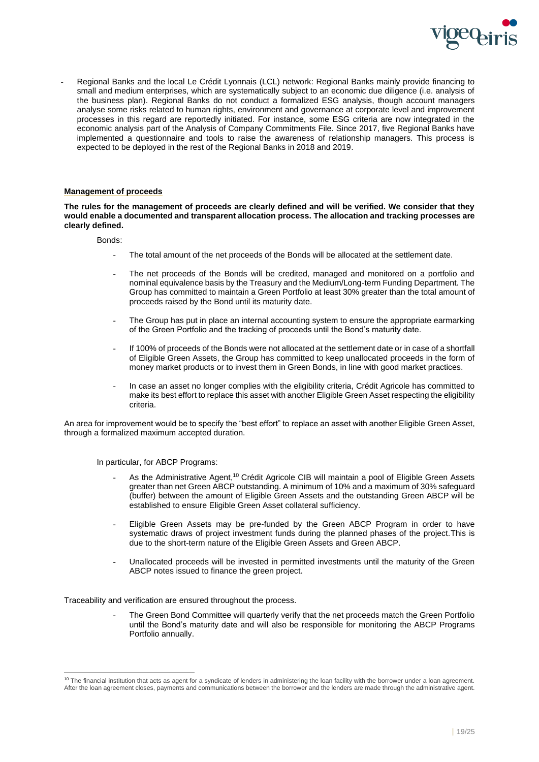

Regional Banks and the local Le Crédit Lyonnais (LCL) network: Regional Banks mainly provide financing to small and medium enterprises, which are systematically subject to an economic due diligence (i.e. analysis of the business plan). Regional Banks do not conduct a formalized ESG analysis, though account managers analyse some risks related to human rights, environment and governance at corporate level and improvement processes in this regard are reportedly initiated. For instance, some ESG criteria are now integrated in the economic analysis part of the Analysis of Company Commitments File. Since 2017, five Regional Banks have implemented a questionnaire and tools to raise the awareness of relationship managers. This process is expected to be deployed in the rest of the Regional Banks in 2018 and 2019.

# **Management of proceeds**

**The rules for the management of proceeds are clearly defined and will be verified. We consider that they would enable a documented and transparent allocation process. The allocation and tracking processes are clearly defined.**

Bonds:

- The total amount of the net proceeds of the Bonds will be allocated at the settlement date.
- The net proceeds of the Bonds will be credited, managed and monitored on a portfolio and nominal equivalence basis by the Treasury and the Medium/Long-term Funding Department. The Group has committed to maintain a Green Portfolio at least 30% greater than the total amount of proceeds raised by the Bond until its maturity date.
- The Group has put in place an internal accounting system to ensure the appropriate earmarking of the Green Portfolio and the tracking of proceeds until the Bond's maturity date.
- If 100% of proceeds of the Bonds were not allocated at the settlement date or in case of a shortfall of Eligible Green Assets, the Group has committed to keep unallocated proceeds in the form of money market products or to invest them in Green Bonds, in line with good market practices.
- In case an asset no longer complies with the eligibility criteria, Crédit Agricole has committed to make its best effort to replace this asset with another Eligible Green Asset respecting the eligibility criteria.

An area for improvement would be to specify the "best effort" to replace an asset with another Eligible Green Asset, through a formalized maximum accepted duration.

In particular, for ABCP Programs:

- As the Administrative Agent,<sup>10</sup> Crédit Agricole CIB will maintain a pool of Eligible Green Assets greater than net Green ABCP outstanding. A minimum of 10% and a maximum of 30% safeguard (buffer) between the amount of Eligible Green Assets and the outstanding Green ABCP will be established to ensure Eligible Green Asset collateral sufficiency.
- Eligible Green Assets may be pre-funded by the Green ABCP Program in order to have systematic draws of project investment funds during the planned phases of the project.This is due to the short-term nature of the Eligible Green Assets and Green ABCP.
- Unallocated proceeds will be invested in permitted investments until the maturity of the Green ABCP notes issued to finance the green project.

Traceability and verification are ensured throughout the process.

The Green Bond Committee will quarterly verify that the net proceeds match the Green Portfolio until the Bond's maturity date and will also be responsible for monitoring the ABCP Programs Portfolio annually.

<sup>&</sup>lt;sup>10</sup> The financial institution that acts as agent for a syndicate of lenders in administering the loan facility with the borrower under a loan agreement. After the loan agreement closes, payments and communications between the borrower and the lenders are made through the administrative agent.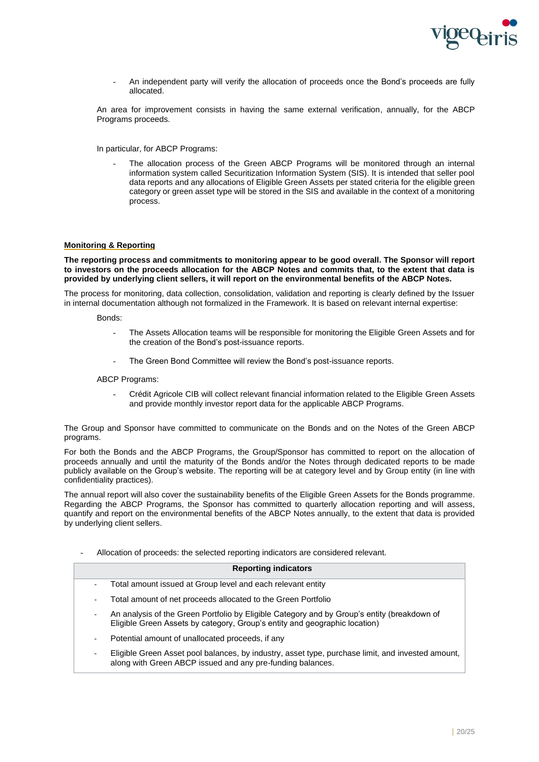

- An independent party will verify the allocation of proceeds once the Bond's proceeds are fully allocated.

An area for improvement consists in having the same external verification, annually, for the ABCP Programs proceeds.

In particular, for ABCP Programs:

The allocation process of the Green ABCP Programs will be monitored through an internal information system called Securitization Information System (SIS). It is intended that seller pool data reports and any allocations of Eligible Green Assets per stated criteria for the eligible green category or green asset type will be stored in the SIS and available in the context of a monitoring process.

# **Monitoring & Reporting**

**The reporting process and commitments to monitoring appear to be good overall. The Sponsor will report to investors on the proceeds allocation for the ABCP Notes and commits that, to the extent that data is provided by underlying client sellers, it will report on the environmental benefits of the ABCP Notes.**

The process for monitoring, data collection, consolidation, validation and reporting is clearly defined by the Issuer in internal documentation although not formalized in the Framework. It is based on relevant internal expertise:

Bonds:

- The Assets Allocation teams will be responsible for monitoring the Eligible Green Assets and for the creation of the Bond's post-issuance reports.
- The Green Bond Committee will review the Bond's post-issuance reports.

ABCP Programs:

- Crédit Agricole CIB will collect relevant financial information related to the Eligible Green Assets and provide monthly investor report data for the applicable ABCP Programs.

The Group and Sponsor have committed to communicate on the Bonds and on the Notes of the Green ABCP programs.

For both the Bonds and the ABCP Programs, the Group/Sponsor has committed to report on the allocation of proceeds annually and until the maturity of the Bonds and/or the Notes through dedicated reports to be made publicly available on the Group's website. The reporting will be at category level and by Group entity (in line with confidentiality practices).

The annual report will also cover the sustainability benefits of the Eligible Green Assets for the Bonds programme. Regarding the ABCP Programs, the Sponsor has committed to quarterly allocation reporting and will assess, quantify and report on the environmental benefits of the ABCP Notes annually, to the extent that data is provided by underlying client sellers.

- Allocation of proceeds: the selected reporting indicators are considered relevant.

# **Reporting indicators**

- Total amount issued at Group level and each relevant entity
- Total amount of net proceeds allocated to the Green Portfolio
- An analysis of the Green Portfolio by Eligible Category and by Group's entity (breakdown of Eligible Green Assets by category, Group's entity and geographic location)
- Potential amount of unallocated proceeds, if any
- Eligible Green Asset pool balances, by industry, asset type, purchase limit, and invested amount, along with Green ABCP issued and any pre-funding balances.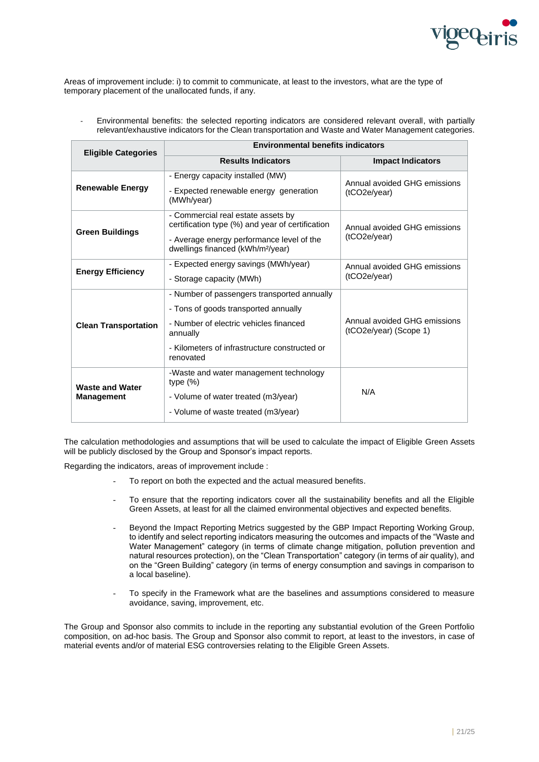

Areas of improvement include: i) to commit to communicate, at least to the investors, what are the type of temporary placement of the unallocated funds, if any.

- Environmental benefits: the selected reporting indicators are considered relevant overall, with partially relevant/exhaustive indicators for the Clean transportation and Waste and Water Management categories.

| <b>Eligible Categories</b>  | <b>Environmental benefits indicators</b>                                                   |                                                        |  |
|-----------------------------|--------------------------------------------------------------------------------------------|--------------------------------------------------------|--|
|                             | <b>Results Indicators</b>                                                                  | <b>Impact Indicators</b>                               |  |
|                             | - Energy capacity installed (MW)                                                           | Annual avoided GHG emissions                           |  |
| <b>Renewable Energy</b>     | - Expected renewable energy generation<br>(MWh/year)                                       | (tCO2e/year)                                           |  |
| <b>Green Buildings</b>      | - Commercial real estate assets by<br>certification type (%) and year of certification     | Annual avoided GHG emissions                           |  |
|                             | - Average energy performance level of the<br>dwellings financed (kWh/m <sup>2</sup> /year) | (tCO2e/year)                                           |  |
| <b>Energy Efficiency</b>    | - Expected energy savings (MWh/year)                                                       | Annual avoided GHG emissions                           |  |
|                             | - Storage capacity (MWh)                                                                   | (tCO2e/year)                                           |  |
|                             | - Number of passengers transported annually                                                |                                                        |  |
|                             | - Tons of goods transported annually                                                       |                                                        |  |
| <b>Clean Transportation</b> | - Number of electric vehicles financed<br>annually                                         | Annual avoided GHG emissions<br>(tCO2e/year) (Scope 1) |  |
|                             | - Kilometers of infrastructure constructed or<br>renovated                                 |                                                        |  |
| <b>Waste and Water</b>      | -Waste and water management technology<br>type $(\%)$                                      |                                                        |  |
| <b>Management</b>           | - Volume of water treated (m3/year)                                                        | N/A                                                    |  |
|                             | - Volume of waste treated (m3/year)                                                        |                                                        |  |

The calculation methodologies and assumptions that will be used to calculate the impact of Eligible Green Assets will be publicly disclosed by the Group and Sponsor's impact reports.

Regarding the indicators, areas of improvement include :

- To report on both the expected and the actual measured benefits.
- To ensure that the reporting indicators cover all the sustainability benefits and all the Eligible Green Assets, at least for all the claimed environmental objectives and expected benefits.
- Beyond the Impact Reporting Metrics suggested by the GBP Impact Reporting Working Group, to identify and select reporting indicators measuring the outcomes and impacts of the "Waste and Water Management" category (in terms of climate change mitigation, pollution prevention and natural resources protection), on the "Clean Transportation" category (in terms of air quality), and on the "Green Building" category (in terms of energy consumption and savings in comparison to a local baseline).
- To specify in the Framework what are the baselines and assumptions considered to measure avoidance, saving, improvement, etc.

The Group and Sponsor also commits to include in the reporting any substantial evolution of the Green Portfolio composition, on ad-hoc basis. The Group and Sponsor also commit to report, at least to the investors, in case of material events and/or of material ESG controversies relating to the Eligible Green Assets.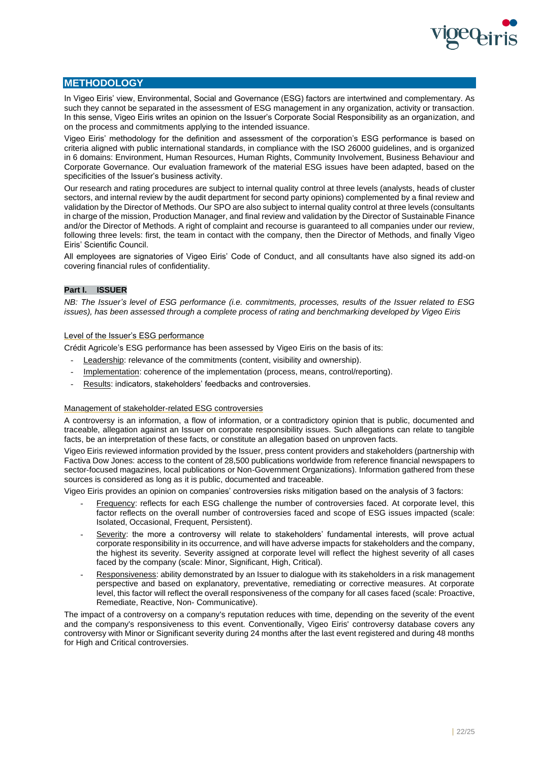

# **METHODOLOGY**

In Vigeo Eiris' view, Environmental, Social and Governance (ESG) factors are intertwined and complementary. As such they cannot be separated in the assessment of ESG management in any organization, activity or transaction. In this sense, Vigeo Eiris writes an opinion on the Issuer's Corporate Social Responsibility as an organization, and on the process and commitments applying to the intended issuance.

Vigeo Eiris' methodology for the definition and assessment of the corporation's ESG performance is based on criteria aligned with public international standards, in compliance with the ISO 26000 guidelines, and is organized in 6 domains: Environment, Human Resources, Human Rights, Community Involvement, Business Behaviour and Corporate Governance. Our evaluation framework of the material ESG issues have been adapted, based on the specificities of the Issuer's business activity.

Our research and rating procedures are subject to internal quality control at three levels (analysts, heads of cluster sectors, and internal review by the audit department for second party opinions) complemented by a final review and validation by the Director of Methods. Our SPO are also subject to internal quality control at three levels (consultants in charge of the mission, Production Manager, and final review and validation by the Director of Sustainable Finance and/or the Director of Methods. A right of complaint and recourse is guaranteed to all companies under our review, following three levels: first, the team in contact with the company, then the Director of Methods, and finally Vigeo Eiris' Scientific Council.

All employees are signatories of Vigeo Eiris' Code of Conduct, and all consultants have also signed its add-on covering financial rules of confidentiality.

# **Part I. ISSUER**

*NB: The Issuer's level of ESG performance (i.e. commitments, processes, results of the Issuer related to ESG issues), has been assessed through a complete process of rating and benchmarking developed by Vigeo Eiris*

# Level of the Issuer's ESG performance

Crédit Agricole's ESG performance has been assessed by Vigeo Eiris on the basis of its:

- Leadership: relevance of the commitments (content, visibility and ownership).
- Implementation: coherence of the implementation (process, means, control/reporting).
- Results: indicators, stakeholders' feedbacks and controversies.

# Management of stakeholder-related ESG controversies

A controversy is an information, a flow of information, or a contradictory opinion that is public, documented and traceable, allegation against an Issuer on corporate responsibility issues. Such allegations can relate to tangible facts, be an interpretation of these facts, or constitute an allegation based on unproven facts.

Vigeo Eiris reviewed information provided by the Issuer, press content providers and stakeholders (partnership with Factiva Dow Jones: access to the content of 28,500 publications worldwide from reference financial newspapers to sector-focused magazines, local publications or Non-Government Organizations). Information gathered from these sources is considered as long as it is public, documented and traceable.

Vigeo Eiris provides an opinion on companies' controversies risks mitigation based on the analysis of 3 factors:

- Frequency: reflects for each ESG challenge the number of controversies faced. At corporate level, this factor reflects on the overall number of controversies faced and scope of ESG issues impacted (scale: Isolated, Occasional, Frequent, Persistent).
- Severity: the more a controversy will relate to stakeholders' fundamental interests, will prove actual corporate responsibility in its occurrence, and will have adverse impacts for stakeholders and the company, the highest its severity. Severity assigned at corporate level will reflect the highest severity of all cases faced by the company (scale: Minor, Significant, High, Critical).
- Responsiveness: ability demonstrated by an Issuer to dialogue with its stakeholders in a risk management perspective and based on explanatory, preventative, remediating or corrective measures. At corporate level, this factor will reflect the overall responsiveness of the company for all cases faced (scale: Proactive, Remediate, Reactive, Non- Communicative).

The impact of a controversy on a company's reputation reduces with time, depending on the severity of the event and the company's responsiveness to this event. Conventionally, Vigeo Eiris' controversy database covers any controversy with Minor or Significant severity during 24 months after the last event registered and during 48 months for High and Critical controversies.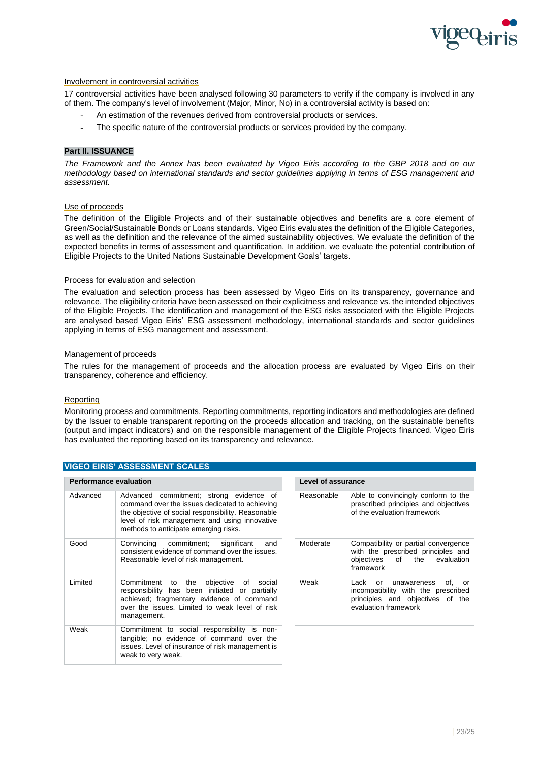

# Involvement in controversial activities

17 controversial activities have been analysed following 30 parameters to verify if the company is involved in any of them. The company's level of involvement (Major, Minor, No) in a controversial activity is based on:

- An estimation of the revenues derived from controversial products or services.
- The specific nature of the controversial products or services provided by the company.

# **Part II. ISSUANCE**

*The Framework and the Annex has been evaluated by Vigeo Eiris according to the GBP 2018 and on our methodology based on international standards and sector guidelines applying in terms of ESG management and assessment.*

# Use of proceeds

The definition of the Eligible Projects and of their sustainable objectives and benefits are a core element of Green/Social/Sustainable Bonds or Loans standards. Vigeo Eiris evaluates the definition of the Eligible Categories, as well as the definition and the relevance of the aimed sustainability objectives. We evaluate the definition of the expected benefits in terms of assessment and quantification. In addition, we evaluate the potential contribution of Eligible Projects to the United Nations Sustainable Development Goals' targets.

#### Process for evaluation and selection

The evaluation and selection process has been assessed by Vigeo Eiris on its transparency, governance and relevance. The eligibility criteria have been assessed on their explicitness and relevance vs. the intended objectives of the Eligible Projects. The identification and management of the ESG risks associated with the Eligible Projects are analysed based Vigeo Eiris' ESG assessment methodology, international standards and sector guidelines applying in terms of ESG management and assessment.

#### Management of proceeds

The rules for the management of proceeds and the allocation process are evaluated by Vigeo Eiris on their transparency, coherence and efficiency.

# Reporting

Monitoring process and commitments, Reporting commitments, reporting indicators and methodologies are defined by the Issuer to enable transparent reporting on the proceeds allocation and tracking, on the sustainable benefits (output and impact indicators) and on the responsible management of the Eligible Projects financed. Vigeo Eiris has evaluated the reporting based on its transparency and relevance.

| <b>Performance evaluation</b> |                                                                                                                                                                                                                                           | <b>Level of assurance</b> |                               |
|-------------------------------|-------------------------------------------------------------------------------------------------------------------------------------------------------------------------------------------------------------------------------------------|---------------------------|-------------------------------|
| Advanced                      | Advanced commitment; strong evidence of<br>command over the issues dedicated to achieving<br>the objective of social responsibility. Reasonable<br>level of risk management and using innovative<br>methods to anticipate emerging risks. | Reasonable                | Able<br>pres<br>of th         |
| Good                          | Convincing commitment;<br>significant<br>and<br>consistent evidence of command over the issues.<br>Reasonable level of risk management.                                                                                                   | Moderate                  | Com<br>with<br>obje<br>fram   |
| Limited                       | Commitment to the<br>objective of<br>social<br>responsibility has been initiated or partially<br>achieved; fragmentary evidence of command<br>over the issues. Limited to weak level of risk<br>management.                               | Weak                      | Lack<br>inco<br>prino<br>eval |
| Weak                          | Commitment to social responsibility is non-<br>tangible; no evidence of command over the<br>issues. Level of insurance of risk management is<br>weak to very weak.                                                                        |                           |                               |

| Level of assurance |                                                                                                                                     |
|--------------------|-------------------------------------------------------------------------------------------------------------------------------------|
| Reasonable         | Able to convincingly conform to the<br>prescribed principles and objectives<br>of the evaluation framework                          |
| Moderate           | Compatibility or partial convergence<br>with the prescribed principles and<br>objectives of the evaluation<br>framework             |
| Weak               | Lack or unawareness<br>of.<br>or<br>incompatibility with the prescribed<br>principles and objectives of the<br>evaluation framework |

#### **VIGEO EIRIS' ASSESSMENT SCALES**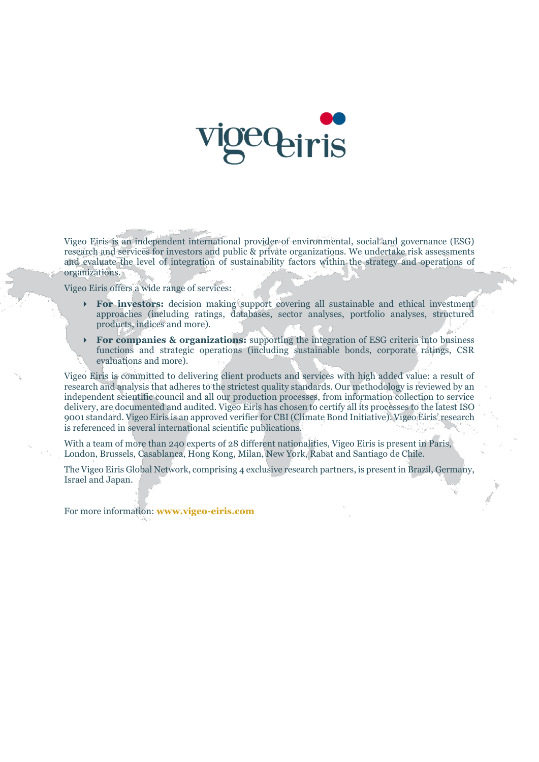

Vigeo Eiris is an independent international provider of environmental, social and governance (ESG) research and services for investors and public & private organizations. We undertake risk assessments and evaluate the level of integration of sustainability factors within the strategy and operations of organizations.

Vigeo Eiris offers a wide range of services:

- **For investors:** decision making support covering all sustainable and ethical investment approaches (including ratings, databases, sector analyses, portfolio analyses, structured products, indices and more).
- **For companies & organizations:** supporting the integration of ESG criteria into business functions and strategic operations (including sustainable bonds, corporate ratings, CSR evaluations and more).

Vigeo Eiris is committed to delivering client products and services with high added value: a result of research and analysis that adheres to the strictest quality standards. Our methodology is reviewed by an independent scientific council and all our production processes, from information collection to service delivery, are documented and audited. Vigeo Eiris has chosen to certify all its processes to the latest ISO 9001 standard. Vigeo Eiris is an approved verifier for CBI (Climate Bond Initiative). Vigeo Eiris' research is referenced in several international scientific publications.

With a team of more than 240 experts of 28 different nationalities, Vigeo Eiris is present in Paris, London, Brussels, Casablanca, Hong Kong, Milan, New York, Rabat and Santiago de Chile.

The Vigeo Eiris Global Network, comprising 4 exclusive research partners, is present in Brazil, Germany, Israel and Japan.

For more information: **www.vigeo-eiris.com**